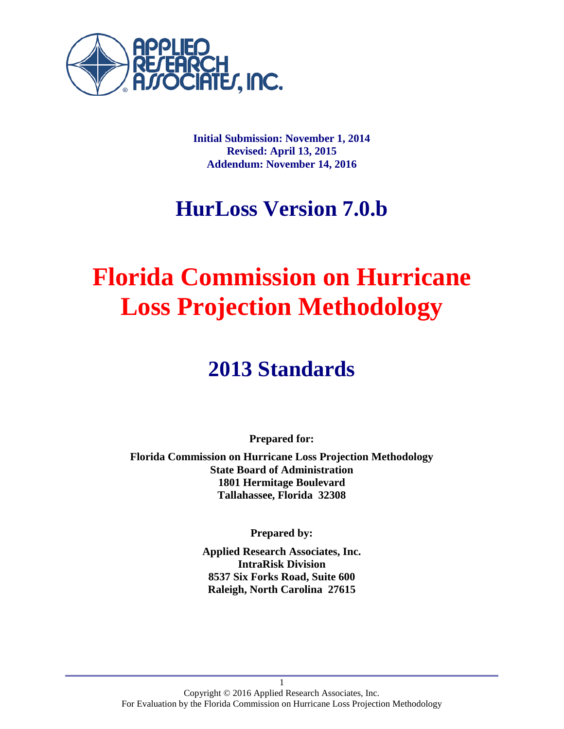

**Initial Submission: November 1, 2014 Revised: April 13, 2015 Addendum: November 14, 2016**

## **HurLoss Version 7.0.b**

# **Florida Commission on Hurricane Loss Projection Methodology**

## **2013 Standards**

**Prepared for:**

**Florida Commission on Hurricane Loss Projection Methodology State Board of Administration 1801 Hermitage Boulevard Tallahassee, Florida 32308**

**Prepared by:**

**Applied Research Associates, Inc. IntraRisk Division 8537 Six Forks Road, Suite 600 Raleigh, North Carolina 27615**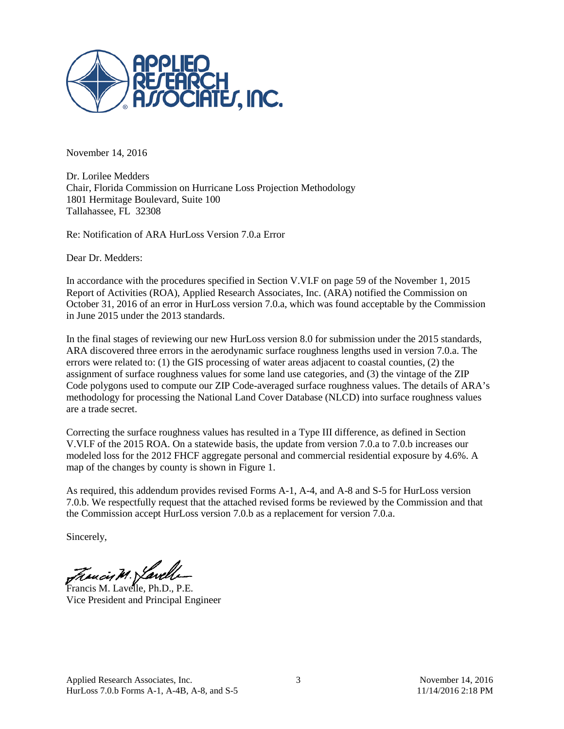

November 14, 2016

Dr. Lorilee Medders Chair, Florida Commission on Hurricane Loss Projection Methodology 1801 Hermitage Boulevard, Suite 100 Tallahassee, FL 32308

Re: Notification of ARA HurLoss Version 7.0.a Error

Dear Dr. Medders:

In accordance with the procedures specified in Section V.VI.F on page 59 of the November 1, 2015 Report of Activities (ROA), Applied Research Associates, Inc. (ARA) notified the Commission on October 31, 2016 of an error in HurLoss version 7.0.a, which was found acceptable by the Commission in June 2015 under the 2013 standards.

In the final stages of reviewing our new HurLoss version 8.0 for submission under the 2015 standards, ARA discovered three errors in the aerodynamic surface roughness lengths used in version 7.0.a. The errors were related to: (1) the GIS processing of water areas adjacent to coastal counties, (2) the assignment of surface roughness values for some land use categories, and (3) the vintage of the ZIP Code polygons used to compute our ZIP Code-averaged surface roughness values. The details of ARA's methodology for processing the National Land Cover Database (NLCD) into surface roughness values are a trade secret.

Correcting the surface roughness values has resulted in a Type III difference, as defined in Section V.VI.F of the 2015 ROA. On a statewide basis, the update from version 7.0.a to 7.0.b increases our modeled loss for the 2012 FHCF aggregate personal and commercial residential exposure by 4.6%. A map of the changes by county is shown in Figure 1.

As required, this addendum provides revised Forms A-1, A-4, and A-8 and S-5 for HurLoss version 7.0.b. We respectfully request that the attached revised forms be reviewed by the Commission and that the Commission accept HurLoss version 7.0.b as a replacement for version 7.0.a.

Sincerely,

Francis M. Lavelle, Ph.D., P.E.

Vice President and Principal Engineer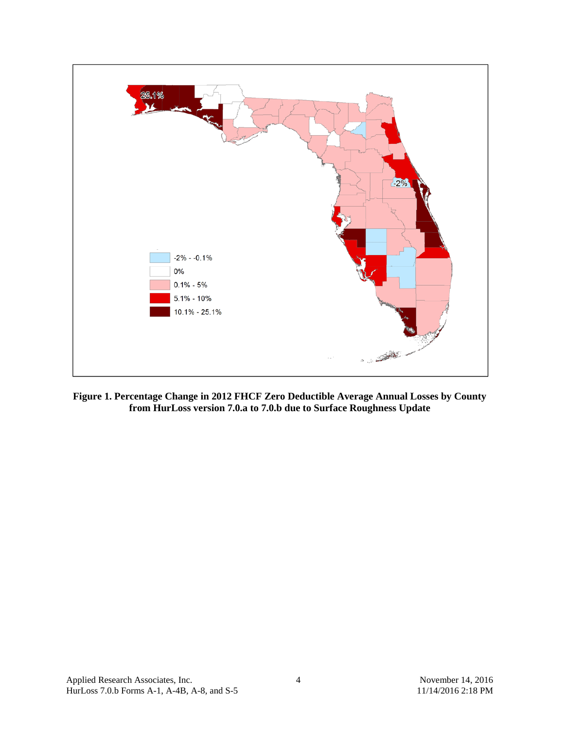

**Figure 1. Percentage Change in 2012 FHCF Zero Deductible Average Annual Losses by County from HurLoss version 7.0.a to 7.0.b due to Surface Roughness Update**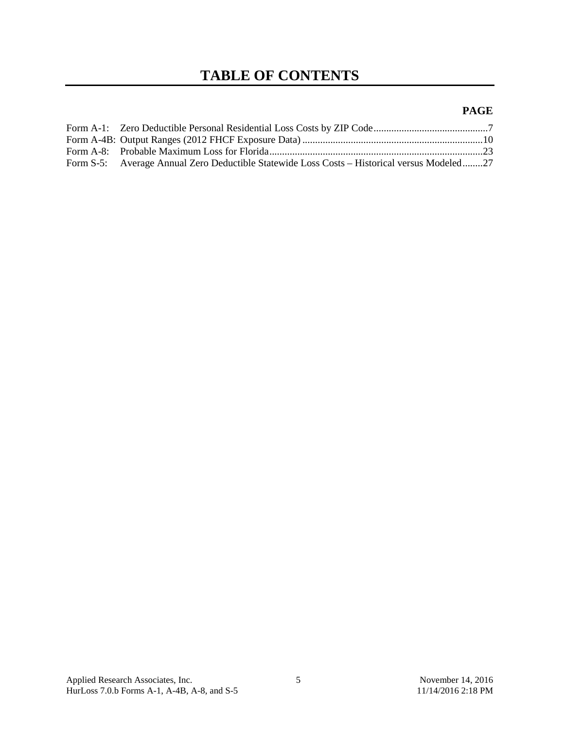## **TABLE OF CONTENTS**

#### **PAGE**

| Form S-5: Average Annual Zero Deductible Statewide Loss Costs – Historical versus Modeled27 |  |
|---------------------------------------------------------------------------------------------|--|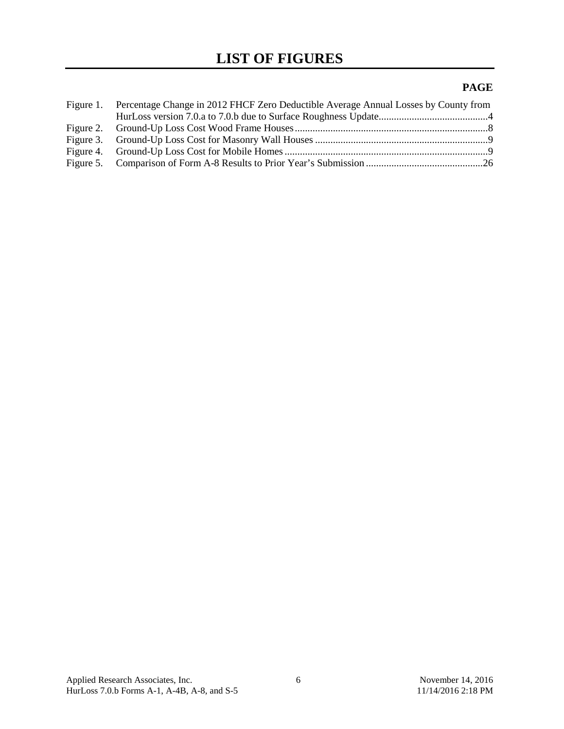### **PAGE**

| Figure 1. Percentage Change in 2012 FHCF Zero Deductible Average Annual Losses by County from |  |
|-----------------------------------------------------------------------------------------------|--|
|                                                                                               |  |
|                                                                                               |  |
|                                                                                               |  |
|                                                                                               |  |
|                                                                                               |  |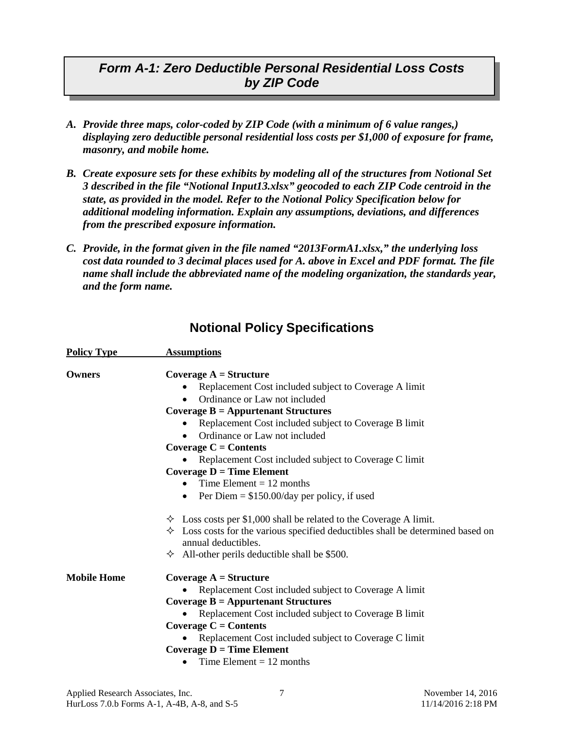## *Form A-1: Zero Deductible Personal Residential Loss Costs by ZIP Code*

- *A. Provide three maps, color-coded by ZIP Code (with a minimum of 6 value ranges,) displaying zero deductible personal residential loss costs per \$1,000 of exposure for frame, masonry, and mobile home.*
- *B. Create exposure sets for these exhibits by modeling all of the structures from Notional Set 3 described in the file "Notional Input13.xlsx" geocoded to each ZIP Code centroid in the state, as provided in the model. Refer to the Notional Policy Specification below for additional modeling information. Explain any assumptions, deviations, and differences from the prescribed exposure information.*
- *C. Provide, in the format given in the file named "2013FormA1.xlsx," the underlying loss cost data rounded to 3 decimal places used for A. above in Excel and PDF format. The file name shall include the abbreviated name of the modeling organization, the standards year, and the form name.*

| <b>Policy Type</b> | <b>Assumptions</b>                                                                                              |  |  |  |  |  |  |  |
|--------------------|-----------------------------------------------------------------------------------------------------------------|--|--|--|--|--|--|--|
| Owners             | Coverage $A = Structure$                                                                                        |  |  |  |  |  |  |  |
|                    | Replacement Cost included subject to Coverage A limit                                                           |  |  |  |  |  |  |  |
|                    | Ordinance or Law not included                                                                                   |  |  |  |  |  |  |  |
|                    | Coverage $B =$ Appurtenant Structures                                                                           |  |  |  |  |  |  |  |
|                    | Replacement Cost included subject to Coverage B limit                                                           |  |  |  |  |  |  |  |
|                    | Ordinance or Law not included<br>$\bullet$                                                                      |  |  |  |  |  |  |  |
|                    | Coverage $C =$ Contents                                                                                         |  |  |  |  |  |  |  |
|                    | Replacement Cost included subject to Coverage C limit                                                           |  |  |  |  |  |  |  |
|                    | Coverage $D = Time$ Element                                                                                     |  |  |  |  |  |  |  |
|                    | Time Element $= 12$ months                                                                                      |  |  |  |  |  |  |  |
|                    | Per Diem = $$150.00/day$ per policy, if used<br>$\bullet$                                                       |  |  |  |  |  |  |  |
|                    | $\div$ Loss costs per \$1,000 shall be related to the Coverage A limit.                                         |  |  |  |  |  |  |  |
|                    | $\Diamond$ Loss costs for the various specified deductibles shall be determined based on<br>annual deductibles. |  |  |  |  |  |  |  |
|                    | $\div$ All-other perils deductible shall be \$500.                                                              |  |  |  |  |  |  |  |
| <b>Mobile Home</b> | Coverage $A = Structure$                                                                                        |  |  |  |  |  |  |  |
|                    | Replacement Cost included subject to Coverage A limit                                                           |  |  |  |  |  |  |  |
|                    | Coverage $B =$ Appurtenant Structures                                                                           |  |  |  |  |  |  |  |
|                    | Replacement Cost included subject to Coverage B limit                                                           |  |  |  |  |  |  |  |
|                    | Coverage $C =$ Contents                                                                                         |  |  |  |  |  |  |  |
|                    | Replacement Cost included subject to Coverage C limit                                                           |  |  |  |  |  |  |  |
|                    | Coverage $D = Time$ Element                                                                                     |  |  |  |  |  |  |  |
|                    | Time Element $= 12$ months                                                                                      |  |  |  |  |  |  |  |

### **Notional Policy Specifications**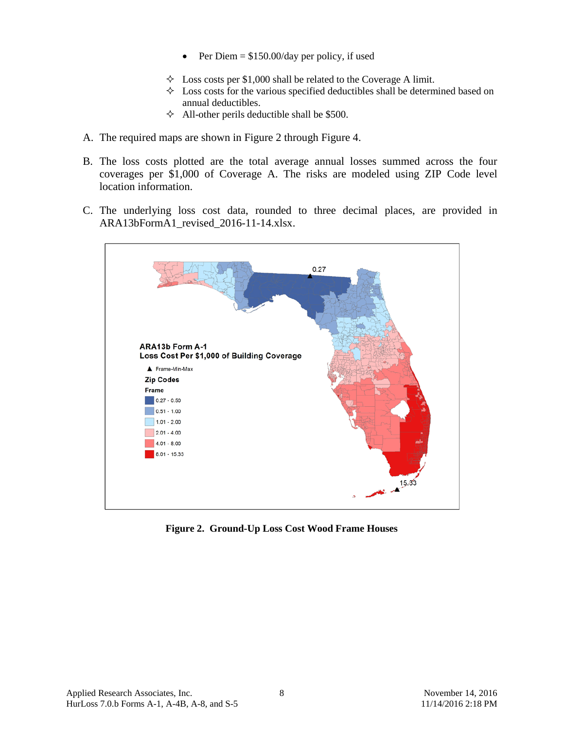- Per Diem  $= $150.00/day$  per policy, if used
- $\triangle$  Loss costs per \$1,000 shall be related to the Coverage A limit.
- $\Diamond$  Loss costs for the various specified deductibles shall be determined based on annual deductibles.
- $\triangle$  All-other perils deductible shall be \$500.
- A. The required maps are shown in [Figure 2](#page-7-0) through [Figure 4.](#page-8-0)
- B. The loss costs plotted are the total average annual losses summed across the four coverages per \$1,000 of Coverage A. The risks are modeled using ZIP Code level location information.
- C. The underlying loss cost data, rounded to three decimal places, are provided in ARA13bFormA1\_revised\_2016-11-14.xlsx.



<span id="page-7-0"></span>**Figure 2. Ground-Up Loss Cost Wood Frame Houses**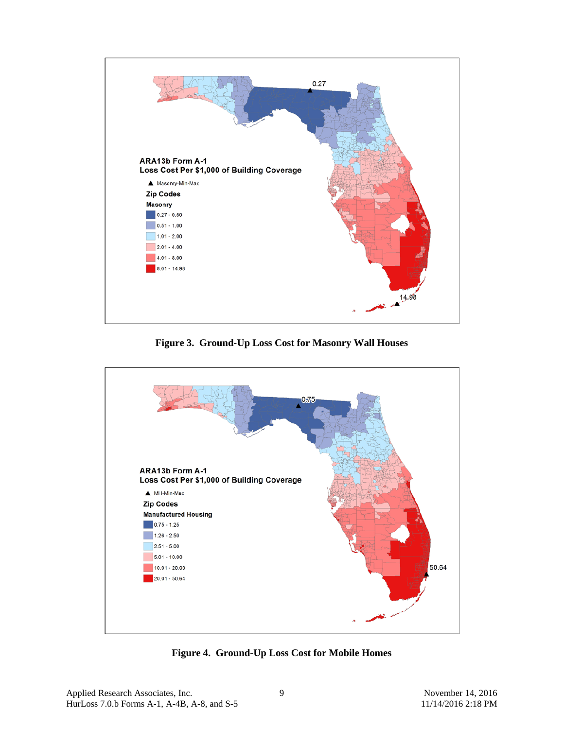

**Figure 3. Ground-Up Loss Cost for Masonry Wall Houses** 



<span id="page-8-0"></span>**Figure 4. Ground-Up Loss Cost for Mobile Homes**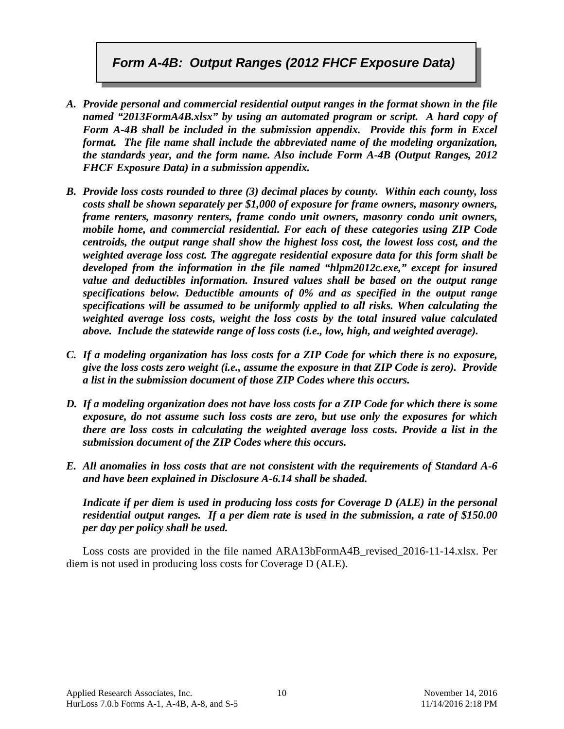## *Form A-4B: Output Ranges (2012 FHCF Exposure Data)*

- *A. Provide personal and commercial residential output ranges in the format shown in the file named "2013FormA4B.xlsx" by using an automated program or script. A hard copy of Form A-4B shall be included in the submission appendix. Provide this form in Excel format. The file name shall include the abbreviated name of the modeling organization, the standards year, and the form name. Also include Form A-4B (Output Ranges, 2012 FHCF Exposure Data) in a submission appendix.*
- *B. Provide loss costs rounded to three (3) decimal places by county. Within each county, loss costs shall be shown separately per \$1,000 of exposure for frame owners, masonry owners, frame renters, masonry renters, frame condo unit owners, masonry condo unit owners, mobile home, and commercial residential. For each of these categories using ZIP Code centroids, the output range shall show the highest loss cost, the lowest loss cost, and the weighted average loss cost. The aggregate residential exposure data for this form shall be developed from the information in the file named "hlpm2012c.exe," except for insured value and deductibles information. Insured values shall be based on the output range specifications below. Deductible amounts of 0% and as specified in the output range specifications will be assumed to be uniformly applied to all risks. When calculating the weighted average loss costs, weight the loss costs by the total insured value calculated above. Include the statewide range of loss costs (i.e., low, high, and weighted average).*
- *C. If a modeling organization has loss costs for a ZIP Code for which there is no exposure, give the loss costs zero weight (i.e., assume the exposure in that ZIP Code is zero). Provide a list in the submission document of those ZIP Codes where this occurs.*
- *D. If a modeling organization does not have loss costs for a ZIP Code for which there is some exposure, do not assume such loss costs are zero, but use only the exposures for which there are loss costs in calculating the weighted average loss costs. Provide a list in the submission document of the ZIP Codes where this occurs.*
- *E. All anomalies in loss costs that are not consistent with the requirements of Standard A-6 and have been explained in Disclosure A-6.14 shall be shaded.*

*Indicate if per diem is used in producing loss costs for Coverage D (ALE) in the personal residential output ranges. If a per diem rate is used in the submission, a rate of \$150.00 per day per policy shall be used.*

Loss costs are provided in the file named ARA13bFormA4B\_revised\_2016-11-14.xlsx. Per diem is not used in producing loss costs for Coverage D (ALE).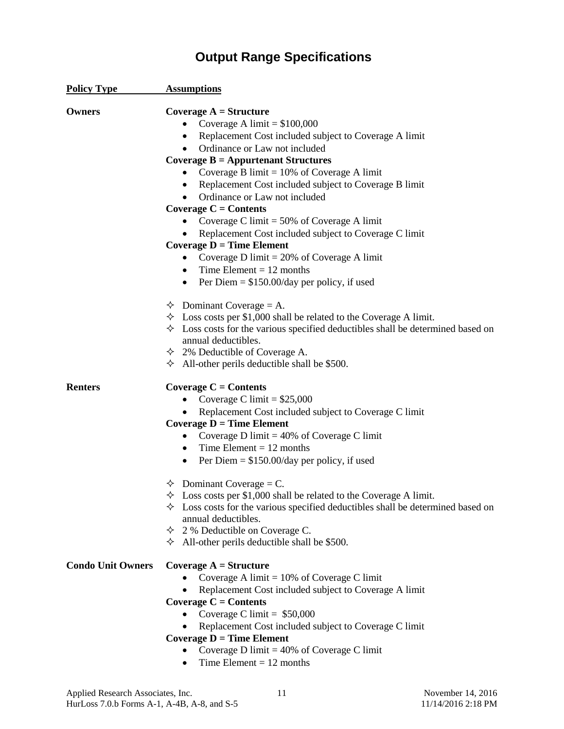## **Output Range Specifications**

| <b>Policy Type</b>       | <b>Assumptions</b>                                                                                                                                                                                                                                                                                                                                                                                                                                                                                                                                                                                                                                                                               |
|--------------------------|--------------------------------------------------------------------------------------------------------------------------------------------------------------------------------------------------------------------------------------------------------------------------------------------------------------------------------------------------------------------------------------------------------------------------------------------------------------------------------------------------------------------------------------------------------------------------------------------------------------------------------------------------------------------------------------------------|
| Owners                   | Coverage $A =$ Structure<br>Coverage A limit = $$100,000$<br>Replacement Cost included subject to Coverage A limit<br>$\bullet$<br>Ordinance or Law not included<br>Coverage $B =$ Appurtenant Structures<br>Coverage B limit = $10\%$ of Coverage A limit<br>Replacement Cost included subject to Coverage B limit<br>$\bullet$<br>Ordinance or Law not included<br>Coverage $C =$ Contents<br>Coverage C limit = $50\%$ of Coverage A limit<br>Replacement Cost included subject to Coverage C limit<br>Coverage $D = Time$ Element<br>Coverage D limit = $20\%$ of Coverage A limit<br>$\bullet$<br>• Time Element $= 12$ months<br>Per Diem = $$150.00/day$ per policy, if used<br>$\bullet$ |
|                          | $\Diamond$ Dominant Coverage = A.<br>$\div$ Loss costs per \$1,000 shall be related to the Coverage A limit.<br>$\Diamond$ Loss costs for the various specified deductibles shall be determined based on<br>annual deductibles.<br>$\div$ 2% Deductible of Coverage A.<br>$\triangle$ All-other perils deductible shall be \$500.                                                                                                                                                                                                                                                                                                                                                                |
| <b>Renters</b>           | Coverage $C =$ Contents<br>Coverage C limit = $$25,000$<br>٠<br>Replacement Cost included subject to Coverage C limit<br>Coverage $D = Time$ Element<br>Coverage D limit = $40\%$ of Coverage C limit<br>$\bullet$<br>Time Element = $12$ months<br>Per Diem = $$150.00/day$ per policy, if used<br>$\bullet$                                                                                                                                                                                                                                                                                                                                                                                    |
|                          | $\Diamond$ Dominant Coverage = C.<br>$\div$ Loss costs per \$1,000 shall be related to the Coverage A limit.<br>$\Diamond$ Loss costs for the various specified deductibles shall be determined based on<br>annual deductibles.<br>$\div$ 2 % Deductible on Coverage C.<br>$\triangle$ All-other perils deductible shall be \$500.                                                                                                                                                                                                                                                                                                                                                               |
| <b>Condo Unit Owners</b> | Coverage $A =$ Structure<br>Coverage A limit = $10\%$ of Coverage C limit<br>Replacement Cost included subject to Coverage A limit<br>Coverage $C =$ Contents<br>Coverage C limit = $$50,000$<br>Replacement Cost included subject to Coverage C limit<br>Coverage $D = Time$ Element<br>Coverage D limit = $40\%$ of Coverage C limit<br>Time Element $= 12$ months                                                                                                                                                                                                                                                                                                                             |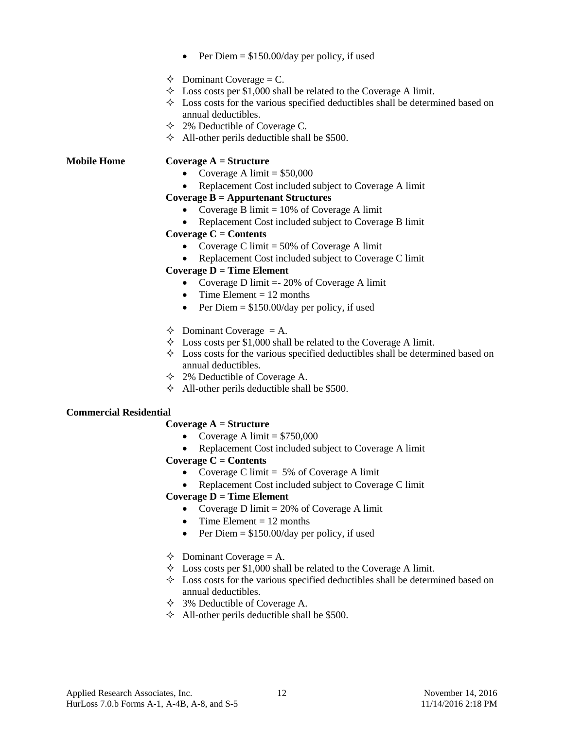- Per Diem  $= $150.00$ /day per policy, if used
- $\triangle$  Dominant Coverage = C.
- $\triangle$  Loss costs per \$1,000 shall be related to the Coverage A limit.
- $\Diamond$  Loss costs for the various specified deductibles shall be determined based on annual deductibles.
- 2% Deductible of Coverage C.
- $\triangle$  All-other perils deductible shall be \$500.

#### **Mobile Home Coverage A = Structure**

- Coverage A limit  $= $50,000$
- Replacement Cost included subject to Coverage A limit

#### **Coverage B = Appurtenant Structures**

- Coverage B limit  $= 10\%$  of Coverage A limit
- Replacement Cost included subject to Coverage B limit **Coverage C = Contents**
	- Coverage C limit  $= 50\%$  of Coverage A limit
	- Replacement Cost included subject to Coverage C limit

#### **Coverage D = Time Element**

- Coverage D limit = 20% of Coverage A limit
- Time Element  $= 12$  months
- Per Diem  $= $150.00/day$  per policy, if used
- $\triangle$  Dominant Coverage = A.
- $\Diamond$  Loss costs per \$1,000 shall be related to the Coverage A limit.
- $\Diamond$  Loss costs for the various specified deductibles shall be determined based on annual deductibles.
- $\div$  2% Deductible of Coverage A.
- $\triangle$  All-other perils deductible shall be \$500.

#### **Commercial Residential**

#### **Coverage A = Structure**

- Coverage A limit  $= $750,000$
- Replacement Cost included subject to Coverage A limit

#### **Coverage C = Contents**

- Coverage C limit  $= 5\%$  of Coverage A limit
- Replacement Cost included subject to Coverage C limit

#### **Coverage D = Time Element**

- Coverage D limit  $= 20\%$  of Coverage A limit
- Time Element  $= 12$  months
- Per Diem  $= $150.00/day$  per policy, if used
- $\triangle$  Dominant Coverage = A.
- $\Diamond$  Loss costs per \$1,000 shall be related to the Coverage A limit.
- $\Diamond$  Loss costs for the various specified deductibles shall be determined based on annual deductibles.
- 3% Deductible of Coverage A.
- $\triangle$  All-other perils deductible shall be \$500.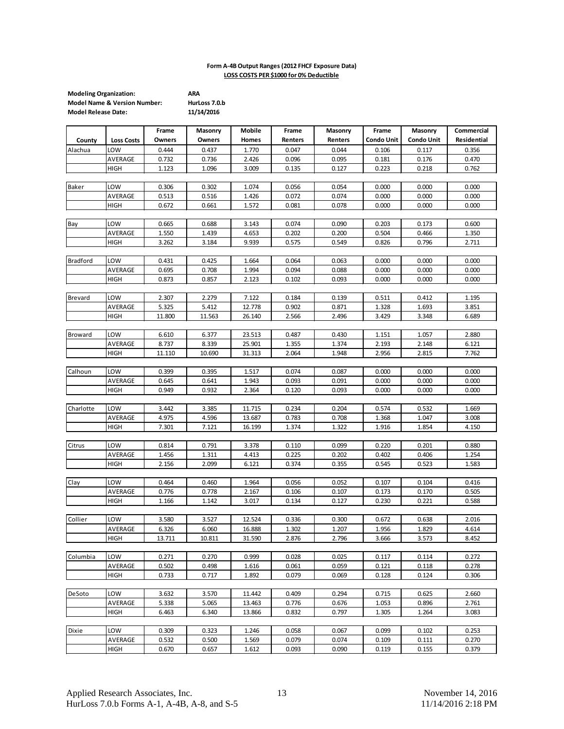#### **Form A-4B Output Ranges (2012 FHCF Exposure Data) LOSS COSTS PER \$1000 for 0% Deductible**

| <b>Modeling Organization:</b>           | ARA           |
|-----------------------------------------|---------------|
| <b>Model Name &amp; Version Number:</b> | HurLoss 7.0.b |
| <b>Model Release Date:</b>              | 11/14/2016    |

|                 |                   | Frame  | Masonry | Mobile           | Frame   | Masonry | Frame             | Masonry           | Commercial  |
|-----------------|-------------------|--------|---------|------------------|---------|---------|-------------------|-------------------|-------------|
| County          | <b>Loss Costs</b> | Owners | Owners  | Homes            | Renters | Renters | <b>Condo Unit</b> | <b>Condo Unit</b> | Residential |
| Alachua         | LOW               | 0.444  | 0.437   | 1.770            | 0.047   | 0.044   | 0.106             | 0.117             | 0.356       |
|                 | AVERAGE           | 0.732  | 0.736   | 2.426            | 0.096   | 0.095   | 0.181             | 0.176             | 0.470       |
|                 | HIGH              | 1.123  | 1.096   | 3.009            | 0.135   | 0.127   | 0.223             | 0.218             | 0.762       |
|                 |                   |        |         |                  |         |         |                   |                   |             |
| Baker           | LOW               | 0.306  | 0.302   | 1.074            | 0.056   | 0.054   | 0.000             | 0.000             | 0.000       |
|                 | AVERAGE           | 0.513  | 0.516   | 1.426            | 0.072   | 0.074   | 0.000             | 0.000             | 0.000       |
|                 | HIGH              | 0.672  | 0.661   | 1.572            | 0.081   | 0.078   | 0.000             | 0.000             | 0.000       |
|                 |                   |        |         |                  |         |         |                   |                   |             |
| Bay             | LOW               | 0.665  | 0.688   | 3.143            | 0.074   | 0.090   | 0.203             | 0.173             | 0.600       |
|                 | AVERAGE           | 1.550  | 1.439   | 4.653            | 0.202   | 0.200   | 0.504             | 0.466             | 1.350       |
|                 | <b>HIGH</b>       | 3.262  | 3.184   | 9.939            | 0.575   | 0.549   | 0.826             | 0.796             | 2.711       |
|                 |                   |        |         |                  |         |         |                   |                   |             |
| <b>Bradford</b> | LOW               | 0.431  | 0.425   | 1.664            | 0.064   | 0.063   | 0.000             | 0.000             | 0.000       |
|                 | AVERAGE           | 0.695  | 0.708   | 1.994            | 0.094   | 0.088   | 0.000             | 0.000             | 0.000       |
|                 | HIGH              | 0.873  | 0.857   | 2.123            | 0.102   | 0.093   | 0.000             | 0.000             | 0.000       |
|                 |                   |        |         |                  |         |         |                   |                   |             |
| Brevard         | LOW               | 2.307  | 2.279   | 7.122            | 0.184   | 0.139   | 0.511             | 0.412             | 1.195       |
|                 | AVERAGE           | 5.325  | 5.412   | 12.778           | 0.902   | 0.871   | 1.328             | 1.693             | 3.851       |
|                 | HIGH              | 11.800 | 11.563  | 26.140           | 2.566   | 2.496   | 3.429             | 3.348             | 6.689       |
|                 |                   |        |         |                  |         |         |                   |                   |             |
| Broward         | LOW               | 6.610  | 6.377   | 23.513           | 0.487   | 0.430   | 1.151             | 1.057             | 2.880       |
|                 | AVERAGE           | 8.737  | 8.339   | 25.901<br>31.313 | 1.355   | 1.374   | 2.193             | 2.148             | 6.121       |
|                 | HIGH              | 11.110 | 10.690  |                  | 2.064   | 1.948   | 2.956             | 2.815             | 7.762       |
| Calhoun         | LOW               | 0.399  | 0.395   | 1.517            | 0.074   | 0.087   | 0.000             | 0.000             | 0.000       |
|                 | AVERAGE           | 0.645  | 0.641   | 1.943            | 0.093   | 0.091   | 0.000             | 0.000             | 0.000       |
|                 | <b>HIGH</b>       | 0.949  | 0.932   | 2.364            | 0.120   | 0.093   | 0.000             | 0.000             | 0.000       |
|                 |                   |        |         |                  |         |         |                   |                   |             |
| Charlotte       | LOW               | 3.442  | 3.385   | 11.715           | 0.234   | 0.204   | 0.574             | 0.532             | 1.669       |
|                 | AVERAGE           | 4.975  | 4.596   | 13.687           | 0.783   | 0.708   | 1.368             | 1.047             | 3.008       |
|                 | HIGH              | 7.301  | 7.121   | 16.199           | 1.374   | 1.322   | 1.916             | 1.854             | 4.150       |
|                 |                   |        |         |                  |         |         |                   |                   |             |
| Citrus          | LOW               | 0.814  | 0.791   | 3.378            | 0.110   | 0.099   | 0.220             | 0.201             | 0.880       |
|                 | AVERAGE           | 1.456  | 1.311   | 4.413            | 0.225   | 0.202   | 0.402             | 0.406             | 1.254       |
|                 | HIGH              | 2.156  | 2.099   | 6.121            | 0.374   | 0.355   | 0.545             | 0.523             | 1.583       |
|                 |                   |        |         |                  |         |         |                   |                   |             |
| Clay            | LOW               | 0.464  | 0.460   | 1.964            | 0.056   | 0.052   | 0.107             | 0.104             | 0.416       |
|                 | AVERAGE           | 0.776  | 0.778   | 2.167            | 0.106   | 0.107   | 0.173             | 0.170             | 0.505       |
|                 | <b>HIGH</b>       | 1.166  | 1.142   | 3.017            | 0.134   | 0.127   | 0.230             | 0.221             | 0.588       |
|                 |                   |        |         |                  |         |         |                   |                   |             |
| Collier         | LOW               | 3.580  | 3.527   | 12.524           | 0.336   | 0.300   | 0.672             | 0.638             | 2.016       |
|                 | AVERAGE           | 6.326  | 6.060   | 16.888           | 1.302   | 1.207   | 1.956             | 1.829             | 4.614       |
|                 | <b>HIGH</b>       | 13.711 | 10.811  | 31.590           | 2.876   | 2.796   | 3.666             | 3.573             | 8.452       |
|                 |                   |        |         |                  |         |         |                   |                   |             |
| Columbia        | LOW               | 0.271  | 0.270   | 0.999            | 0.028   | 0.025   | 0.117             | 0.114             | 0.272       |
|                 | AVERAGE           | 0.502  | 0.498   | 1.616            | 0.061   | 0.059   | 0.121             | 0.118             | 0.278       |
|                 | HIGH              | 0.733  | 0.717   | 1.892            | 0.079   | 0.069   | 0.128             | 0.124             | 0.306       |
| DeSoto          | LOW               | 3.632  | 3.570   | 11.442           | 0.409   | 0.294   | 0.715             | 0.625             | 2.660       |
|                 | AVERAGE           | 5.338  | 5.065   | 13.463           | 0.776   | 0.676   | 1.053             | 0.896             | 2.761       |
|                 | HIGH              | 6.463  | 6.340   | 13.866           | 0.832   | 0.797   | 1.305             | 1.264             | 3.083       |
|                 |                   |        |         |                  |         |         |                   |                   |             |
| Dixie           | LOW               | 0.309  | 0.323   | 1.246            | 0.058   | 0.067   | 0.099             | 0.102             | 0.253       |
|                 | AVERAGE           | 0.532  | 0.500   | 1.569            | 0.079   | 0.074   | 0.109             | 0.111             | 0.270       |
|                 | HIGH              | 0.670  | 0.657   | 1.612            | 0.093   | 0.090   | 0.119             | 0.155             | 0.379       |
|                 |                   |        |         |                  |         |         |                   |                   |             |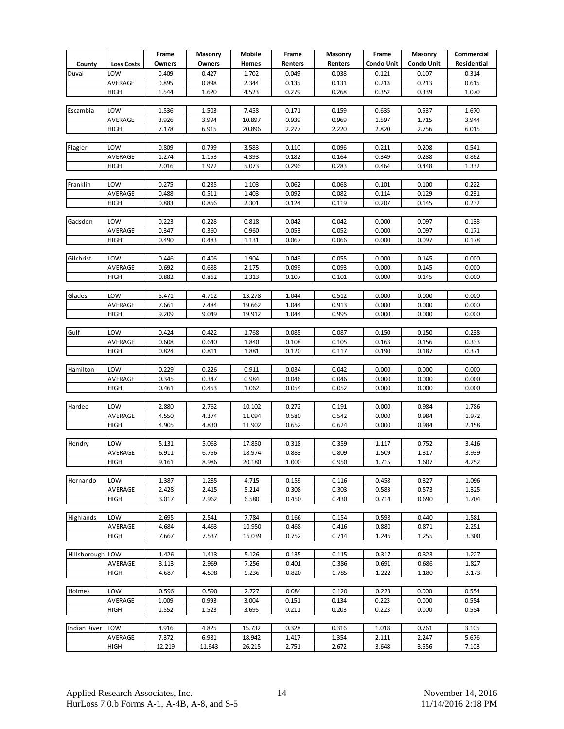|                     |                   | Frame          | Masonry        | Mobile         | Frame          | Masonry        | Frame          | Masonry           | Commercial     |
|---------------------|-------------------|----------------|----------------|----------------|----------------|----------------|----------------|-------------------|----------------|
| County              | <b>Loss Costs</b> | <b>Owners</b>  | Owners         | Homes          | Renters        | Renters        | Condo Unit     | <b>Condo Unit</b> | Residential    |
| Duval               | LOW               | 0.409          | 0.427          | 1.702          | 0.049          | 0.038          | 0.121          | 0.107             | 0.314          |
|                     | AVERAGE           | 0.895          | 0.898          | 2.344          | 0.135          | 0.131          | 0.213          | 0.213             | 0.615          |
|                     | HIGH              | 1.544          | 1.620          | 4.523          | 0.279          | 0.268          | 0.352          | 0.339             | 1.070          |
|                     |                   |                |                |                |                |                |                |                   |                |
| Escambia            | LOW               | 1.536          | 1.503          | 7.458          | 0.171          | 0.159          | 0.635          | 0.537             | 1.670          |
|                     | AVERAGE           | 3.926          | 3.994          | 10.897         | 0.939          | 0.969          | 1.597          | 1.715             | 3.944          |
|                     | HIGH              | 7.178          | 6.915          | 20.896         | 2.277          | 2.220          | 2.820          | 2.756             | 6.015          |
|                     |                   |                |                |                |                |                |                |                   |                |
| Flagler             | LOW               | 0.809          | 0.799          | 3.583          | 0.110          | 0.096          | 0.211          | 0.208             | 0.541          |
|                     | AVERAGE           | 1.274          | 1.153          | 4.393          | 0.182          | 0.164          | 0.349          | 0.288             | 0.862          |
|                     | HIGH              | 2.016          | 1.972          | 5.073          | 0.296          | 0.283          | 0.464          | 0.448             | 1.332          |
|                     |                   |                |                |                |                |                |                |                   |                |
| Franklin            | LOW               | 0.275          | 0.285          | 1.103          | 0.062          | 0.068          | 0.101          | 0.100             | 0.222          |
|                     | AVERAGE           | 0.488          | 0.511          | 1.403          | 0.092          | 0.082          | 0.114          | 0.129             | 0.231          |
|                     | HIGH              | 0.883          | 0.866          | 2.301          | 0.124          | 0.119          | 0.207          | 0.145             | 0.232          |
|                     |                   |                |                |                |                |                |                |                   |                |
| Gadsden             | LOW               | 0.223          | 0.228          | 0.818          | 0.042          | 0.042          | 0.000          | 0.097             | 0.138          |
|                     | AVERAGE           | 0.347          | 0.360          | 0.960          | 0.053          | 0.052          | 0.000          | 0.097             | 0.171          |
|                     | HIGH              | 0.490          | 0.483          | 1.131          | 0.067          | 0.066          | 0.000          | 0.097             | 0.178          |
|                     |                   |                |                |                |                |                |                |                   |                |
| Gilchrist           | LOW               | 0.446          | 0.406          | 1.904          | 0.049          | 0.055          | 0.000          | 0.145             | 0.000          |
|                     | AVERAGE           | 0.692          | 0.688          | 2.175          | 0.099          | 0.093          | 0.000          | 0.145             | 0.000          |
|                     | HIGH              | 0.882          | 0.862          | 2.313          | 0.107          | 0.101          | 0.000          | 0.145             | 0.000          |
|                     |                   |                |                |                |                |                |                |                   |                |
| Glades              | LOW               | 5.471          | 4.712          | 13.278         | 1.044          | 0.512          | 0.000          | 0.000             | 0.000          |
|                     | AVERAGE           | 7.661          | 7.484          | 19.662         | 1.044          | 0.913          | 0.000          | 0.000             | 0.000          |
|                     | HIGH              | 9.209          | 9.049          | 19.912         | 1.044          | 0.995          | 0.000          | 0.000             | 0.000          |
|                     |                   |                |                |                |                |                |                |                   |                |
| Gulf                | LOW               | 0.424          | 0.422          | 1.768          | 0.085          | 0.087          | 0.150          | 0.150             | 0.238          |
|                     | AVERAGE           | 0.608          | 0.640          | 1.840          | 0.108          | 0.105          | 0.163          | 0.156             | 0.333          |
|                     | HIGH              | 0.824          | 0.811          | 1.881          | 0.120          | 0.117          | 0.190          | 0.187             | 0.371          |
| Hamilton            | LOW               | 0.229          | 0.226          | 0.911          | 0.034          | 0.042          | 0.000          | 0.000             | 0.000          |
|                     | AVERAGE           | 0.345          | 0.347          | 0.984          | 0.046          | 0.046          | 0.000          | 0.000             | 0.000          |
|                     | HIGH              | 0.461          | 0.453          | 1.062          | 0.054          | 0.052          | 0.000          | 0.000             | 0.000          |
|                     |                   |                |                |                |                |                |                |                   |                |
| Hardee              | LOW               | 2.880          | 2.762          | 10.102         | 0.272          | 0.191          | 0.000          | 0.984             | 1.786          |
|                     | AVERAGE           | 4.550          | 4.374          | 11.094         | 0.580          | 0.542          | 0.000          | 0.984             | 1.972          |
|                     | HIGH              | 4.905          | 4.830          | 11.902         | 0.652          | 0.624          | 0.000          | 0.984             | 2.158          |
|                     |                   |                |                |                |                |                |                |                   |                |
| Hendry              | LOW               | 5.131          | 5.063          | 17.850         | 0.318          | 0.359          | 1.117          | 0.752             | 3.416          |
|                     | AVERAGE           | 6.911          | 6.756          | 18.974         | 0.883          | 0.809          | 1.509          | 1.317             | 3.939          |
|                     | <b>HIGH</b>       | 9.161          | 8.986          | 20.180         | 1.000          | 0.950          | 1.715          | 1.60/             | 4.252          |
|                     |                   |                |                |                |                |                |                |                   |                |
| Hernando            | LOW               | 1.387          | 1.285          | 4.715          | 0.159          | 0.116          | 0.458          | 0.327             | 1.096          |
|                     | AVERAGE           | 2.428          | 2.415          | 5.214          | 0.308          | 0.303          | 0.583          | 0.573             | 1.325          |
|                     | HIGH              | 3.017          | 2.962          | 6.580          | 0.450          | 0.430          | 0.714          | 0.690             | 1.704          |
|                     |                   |                |                |                |                |                |                |                   |                |
| Highlands           | LOW               | 2.695          | 2.541          | 7.784          | 0.166          | 0.154          | 0.598          | 0.440             | 1.581          |
|                     | AVERAGE           | 4.684          | 4.463          | 10.950         | 0.468          | 0.416          | 0.880          | 0.871             | 2.251          |
|                     | HIGH              | 7.667          | 7.537          | 16.039         | 0.752          | 0.714          | 1.246          | 1.255             | 3.300          |
|                     |                   |                |                |                |                |                |                |                   |                |
| Hillsborough LOW    |                   | 1.426          | 1.413          | 5.126          | 0.135          | 0.115          | 0.317          | 0.323             | 1.227          |
|                     | AVERAGE           | 3.113          | 2.969          | 7.256          | 0.401          | 0.386          | 0.691          | 0.686             | 1.827          |
|                     | HIGH              | 4.687          | 4.598          | 9.236          | 0.820          | 0.785          | 1.222          | 1.180             | 3.173          |
|                     | LOW               |                |                |                |                |                |                |                   |                |
| Holmes              | AVERAGE           | 0.596          | 0.590          | 2.727          | 0.084          | 0.120          | 0.223          | 0.000             | 0.554          |
|                     | HIGH              | 1.009<br>1.552 | 0.993<br>1.523 | 3.004<br>3.695 | 0.151<br>0.211 | 0.134<br>0.203 | 0.223<br>0.223 | 0.000<br>0.000    | 0.554<br>0.554 |
|                     |                   |                |                |                |                |                |                |                   |                |
| <b>Indian River</b> | LOW               | 4.916          | 4.825          | 15.732         | 0.328          | 0.316          | 1.018          | 0.761             | 3.105          |
|                     | AVERAGE           | 7.372          | 6.981          | 18.942         | 1.417          | 1.354          | 2.111          | 2.247             | 5.676          |
|                     | HIGH              | 12.219         | 11.943         | 26.215         | 2.751          | 2.672          | 3.648          | 3.556             | 7.103          |
|                     |                   |                |                |                |                |                |                |                   |                |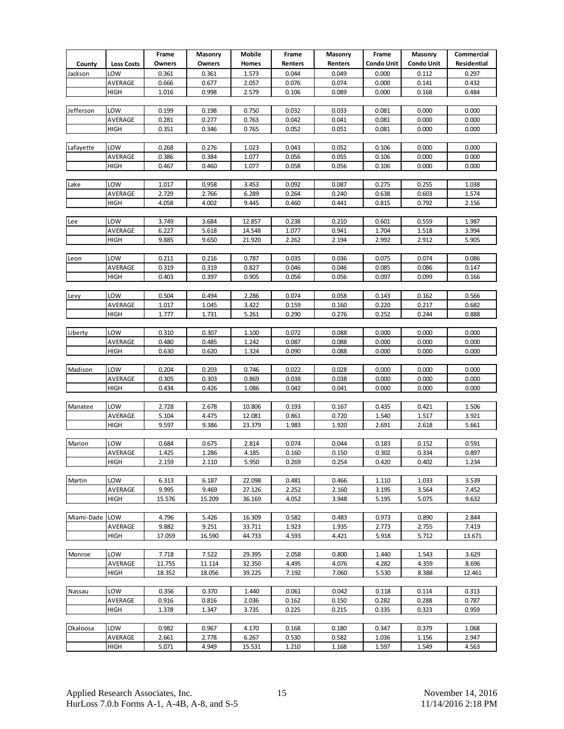|                |                   | Frame          | Masonry        | Mobile         | Frame          | Masonry        | Frame          | Masonry           | Commercial     |
|----------------|-------------------|----------------|----------------|----------------|----------------|----------------|----------------|-------------------|----------------|
| County         | <b>Loss Costs</b> | Owners         | Owners         | Homes          | Renters        | Renters        | Condo Unit     | <b>Condo Unit</b> | Residential    |
| Jackson        | LOW               | 0.361          | 0.361          | 1.573          | 0.044          | 0.049          | 0.000          | 0.112             | 0.297          |
|                | AVERAGE           | 0.666          | 0.677          | 2.057          | 0.076          | 0.074          | 0.000          | 0.141             | 0.432          |
|                | HIGH              | 1.016          | 0.998          | 2.579          | 0.106          | 0.089          | 0.000          | 0.168             | 0.484          |
|                |                   |                |                |                |                |                |                |                   |                |
| Jefferson      | LOW               | 0.199          | 0.198          | 0.750          | 0.032          | 0.033          | 0.081          | 0.000             | 0.000          |
|                | AVERAGE           | 0.281          | 0.277          | 0.763          | 0.042          | 0.041          | 0.081          | 0.000             | 0.000          |
|                | HIGH              | 0.351          | 0.346          | 0.765          | 0.052          | 0.051          | 0.081          | 0.000             | 0.000          |
|                |                   |                |                |                |                |                |                |                   |                |
| Lafayette      | LOW               | 0.268          | 0.276          | 1.023          | 0.043          | 0.052          | 0.106          | 0.000             | 0.000          |
|                | AVERAGE           | 0.386          | 0.384          | 1.077          | 0.056          | 0.055          | 0.106          | 0.000             | 0.000          |
|                | HIGH              | 0.467          | 0.460          | 1.077          | 0.058          | 0.056          | 0.106          | 0.000             | 0.000          |
|                |                   |                |                |                |                |                |                |                   |                |
| Lake           | LOW               | 1.017          | 0.958          | 3.453          | 0.092          | 0.087          | 0.275          | 0.255             | 1.038          |
|                | AVERAGE           | 2.729          | 2.766          | 6.289          | 0.264          | 0.240          | 0.638          | 0.603             | 1.574          |
|                | HIGH              | 4.058          | 4.002          | 9.445          | 0.460          | 0.441          | 0.815          | 0.792             | 2.156          |
|                |                   |                |                |                |                |                |                |                   |                |
| Lee            | LOW               | 3.749          | 3.684          | 12.857         | 0.238          | 0.210          | 0.601          | 0.559             | 1.987          |
|                | AVERAGE           | 6.227          | 5.618          | 14.548         | 1.077          | 0.941          | 1.704          | 1.518             | 3.994          |
|                | HIGH              | 9.885          | 9.650          | 21.920         | 2.262          | 2.194          | 2.992          | 2.912             | 5.905          |
|                |                   |                |                |                |                |                |                |                   |                |
| Leon           | LOW               | 0.211          | 0.216          | 0.787          | 0.035          | 0.036          | 0.075          | 0.074             | 0.086          |
|                | AVERAGE           | 0.319          | 0.319          | 0.827          | 0.046          | 0.046          | 0.085          | 0.086             | 0.147          |
|                | HIGH              | 0.403          | 0.397          | 0.905          | 0.056          | 0.056          | 0.097          | 0.099             | 0.166          |
|                |                   |                |                |                |                |                |                |                   |                |
| Levy           | LOW               | 0.504          | 0.494          | 2.286          | 0.074          | 0.058          | 0.143          | 0.162             | 0.566          |
|                | AVERAGE           | 1.017          | 1.045          | 3.422          | 0.159          | 0.160          | 0.220          | 0.217             | 0.682          |
|                | HIGH              | 1.777          | 1.731          | 5.261          | 0.290          | 0.276          | 0.252          | 0.244             | 0.888          |
|                |                   |                |                |                |                |                |                |                   |                |
| Liberty        | LOW               | 0.310          | 0.307          | 1.100          | 0.072          | 0.088          | 0.000          | 0.000             | 0.000          |
|                | AVERAGE           | 0.480          | 0.485<br>0.620 | 1.242          | 0.087          | 0.088          | 0.000          | 0.000             | 0.000          |
|                | HIGH              | 0.630          |                | 1.324          | 0.090          | 0.088          | 0.000          | 0.000             | 0.000          |
| Madison        | LOW               | 0.204          | 0.203          | 0.746          | 0.022          | 0.028          | 0.000          | 0.000             | 0.000          |
|                | AVERAGE           | 0.305          | 0.303          | 0.869          | 0.038          | 0.038          | 0.000          | 0.000             | 0.000          |
|                | HIGH              | 0.434          | 0.426          | 1.086          | 0.042          | 0.041          | 0.000          | 0.000             | 0.000          |
|                |                   |                |                |                |                |                |                |                   |                |
| Manatee        | LOW               | 2.728          | 2.678          | 10.806         | 0.193          | 0.167          | 0.435          | 0.421             | 1.506          |
|                | AVERAGE           | 5.104          | 4.475          | 12.081         | 0.861          | 0.720          | 1.540          | 1.517             | 3.921          |
|                | HIGH              | 9.597          | 9.386          | 23.379         | 1.983          | 1.920          | 2.691          | 2.618             | 5.661          |
|                |                   |                |                |                |                |                |                |                   |                |
| Marion         | LOW               | 0.684          | 0.675          | 2.814          | 0.074          | 0.044          | 0.183          | 0.152             | 0.591          |
|                | AVERAGE           | 1.425          | 1.286          | 4.185          | 0.160          | 0.150          | 0.302          | 0.334             | 0.897          |
|                | <b>HIGH</b>       | 2.159          | 2.110          | 5.950          | 0.269          | 0.254          | 0.420          | 0.402             | 1.234          |
|                |                   |                |                |                |                |                |                |                   |                |
| Martin         | LOW               | 6.313          | 6.187          | 22.098         | 0.481          | 0.466          | 1.110          | 1.033             | 3.539          |
|                | AVERAGE           | 9.995          | 9.469          | 27.126         | 2.252          | 2.160          | 3.195          | 3.564             | 7.452          |
|                | HIGH              | 15.576         | 15.209         | 36.169         | 4.052          | 3.948          | 5.195          | 5.075             | 9.632          |
|                |                   |                |                |                |                |                |                |                   |                |
| Miami-Dade LOW |                   | 4.796          | 5.426          | 16.309         | 0.582          | 0.483          | 0.973          | 0.890             | 2.844          |
|                | AVERAGE           | 9.882          | 9.251          | 33.711         | 1.923          | 1.935          | 2.773          | 2.755             | 7.419          |
|                | HIGH              | 17.059         | 16.590         | 44.733         | 4.593          | 4.421          | 5.918          | 5.712             | 13.671         |
|                |                   |                |                |                |                |                |                |                   |                |
| Monroe         | LOW               | 7.718          | 7.522          | 29.395         | 2.058          | 0.800          | 1.440          | 1.543             | 3.629          |
|                | AVERAGE           | 11.755         | 11.114         | 32.350         | 4.495          | 4.076          | 4.282          | 4.359             | 8.696          |
|                | HIGH              | 18.352         | 18.056         | 39.225         | 7.192          | 7.060          | 5.530          | 8.388             | 12.461         |
|                | LOW               |                |                |                |                |                |                |                   |                |
| Nassau         |                   | 0.356          | 0.370          | 1.440          | 0.061          | 0.042          | 0.118          | 0.114             | 0.313          |
|                | AVERAGE<br>HIGH   | 0.916<br>1.378 | 0.816<br>1.347 | 2.036<br>3.735 | 0.162<br>0.225 | 0.150<br>0.215 | 0.282<br>0.335 | 0.288<br>0.323    | 0.787<br>0.959 |
|                |                   |                |                |                |                |                |                |                   |                |
| Okaloosa       | LOW               | 0.982          | 0.967          | 4.170          | 0.168          | 0.180          | 0.347          | 0.379             | 1.068          |
|                | AVERAGE           | 2.661          | 2.778          | 6.267          | 0.530          | 0.582          | 1.036          | 1.156             | 2.947          |
|                | HIGH              | 5.071          | 4.949          | 15.531         | 1.210          | 1.168          | 1.597          | 1.549             | 4.563          |
|                |                   |                |                |                |                |                |                |                   |                |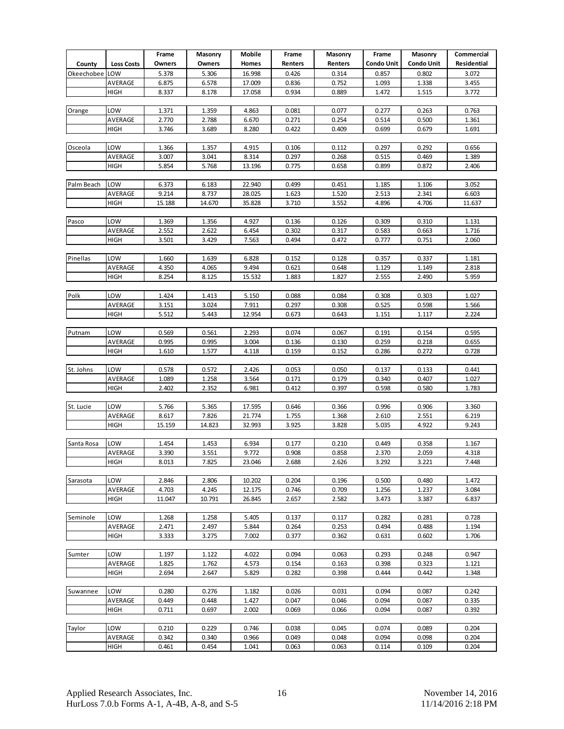|            |                   | Frame          | Masonry | Mobile | Frame   | Masonry | Frame      | Masonry           | Commercial  |
|------------|-------------------|----------------|---------|--------|---------|---------|------------|-------------------|-------------|
| County     | <b>Loss Costs</b> | Owners         | Owners  | Homes  | Renters | Renters | Condo Unit | <b>Condo Unit</b> | Residential |
| Okeechobee | LOW               | 5.378          | 5.306   | 16.998 | 0.426   | 0.314   | 0.857      | 0.802             | 3.072       |
|            | AVERAGE           | 6.875          | 6.578   | 17.009 | 0.836   | 0.752   | 1.093      | 1.338             | 3.455       |
|            | HIGH              | 8.337          | 8.178   | 17.058 | 0.934   | 0.889   | 1.472      | 1.515             | 3.772       |
|            |                   |                |         |        |         |         |            |                   |             |
| Orange     | LOW               | 1.371          | 1.359   | 4.863  | 0.081   | 0.077   | 0.277      | 0.263             | 0.763       |
|            | AVERAGE           | 2.770          | 2.788   | 6.670  | 0.271   | 0.254   | 0.514      | 0.500             | 1.361       |
|            | HIGH              | 3.746          | 3.689   | 8.280  | 0.422   | 0.409   | 0.699      | 0.679             | 1.691       |
|            |                   |                |         |        |         |         |            |                   |             |
| Osceola    | LOW               | 1.366          | 1.357   | 4.915  | 0.106   | 0.112   | 0.297      | 0.292             | 0.656       |
|            | AVERAGE           | 3.007          | 3.041   | 8.314  | 0.297   | 0.268   | 0.515      | 0.469             | 1.389       |
|            | HIGH              | 5.854          | 5.768   | 13.196 | 0.775   | 0.658   | 0.899      | 0.872             | 2.406       |
|            |                   |                |         |        |         |         |            |                   |             |
| Palm Beach | LOW               | 6.373          | 6.183   | 22.940 | 0.499   | 0.451   | 1.185      | 1.106             | 3.052       |
|            | AVERAGE           | 9.214          | 8.737   | 28.025 | 1.623   | 1.520   | 2.513      | 2.341             | 6.603       |
|            | HIGH              | 15.188         | 14.670  | 35.828 | 3.710   | 3.552   | 4.896      | 4.706             | 11.637      |
|            |                   |                |         |        |         |         |            |                   |             |
| Pasco      | LOW               | 1.369          | 1.356   | 4.927  | 0.136   | 0.126   | 0.309      | 0.310             | 1.131       |
|            | AVERAGE           | 2.552          | 2.622   | 6.454  | 0.302   | 0.317   | 0.583      | 0.663             | 1.716       |
|            | <b>HIGH</b>       | 3.501          | 3.429   | 7.563  | 0.494   | 0.472   | 0.777      | 0.751             | 2.060       |
| Pinellas   | LOW               |                |         |        |         |         |            |                   |             |
|            |                   | 1.660          | 1.639   | 6.828  | 0.152   | 0.128   | 0.357      | 0.337             | 1.181       |
|            | AVERAGE           | 4.350<br>8.254 | 4.065   | 9.494  | 0.621   | 0.648   | 1.129      | 1.149             | 2.818       |
|            | <b>HIGH</b>       |                | 8.125   | 15.532 | 1.883   | 1.827   | 2.555      | 2.490             | 5.959       |
| Polk       | LOW               | 1.424          | 1.413   | 5.150  | 0.088   | 0.084   | 0.308      | 0.303             | 1.027       |
|            | AVERAGE           | 3.151          | 3.024   | 7.911  | 0.297   | 0.308   | 0.525      | 0.598             | 1.566       |
|            | HIGH              | 5.512          | 5.443   | 12.954 | 0.673   | 0.643   | 1.151      | 1.117             | 2.224       |
|            |                   |                |         |        |         |         |            |                   |             |
| Putnam     | LOW               | 0.569          | 0.561   | 2.293  | 0.074   | 0.067   | 0.191      | 0.154             | 0.595       |
|            | AVERAGE           | 0.995          | 0.995   | 3.004  | 0.136   | 0.130   | 0.259      | 0.218             | 0.655       |
|            | <b>HIGH</b>       | 1.610          | 1.577   | 4.118  | 0.159   | 0.152   | 0.286      | 0.272             | 0.728       |
|            |                   |                |         |        |         |         |            |                   |             |
| St. Johns  | LOW               | 0.578          | 0.572   | 2.426  | 0.053   | 0.050   | 0.137      | 0.133             | 0.441       |
|            | AVERAGE           | 1.089          | 1.258   | 3.564  | 0.171   | 0.179   | 0.340      | 0.407             | 1.027       |
|            | HIGH              | 2.402          | 2.352   | 6.981  | 0.412   | 0.397   | 0.598      | 0.580             | 1.783       |
|            |                   |                |         |        |         |         |            |                   |             |
| St. Lucie  | LOW               | 5.766          | 5.365   | 17.595 | 0.646   | 0.366   | 0.996      | 0.906             | 3.360       |
|            | AVERAGE           | 8.617          | 7.826   | 21.774 | 1.755   | 1.368   | 2.610      | 2.551             | 6.219       |
|            | <b>HIGH</b>       | 15.159         | 14.823  | 32.993 | 3.925   | 3.828   | 5.035      | 4.922             | 9.243       |
|            |                   |                |         |        |         |         |            |                   |             |
| Santa Rosa | LOW               | 1.454          | 1.453   | 6.934  | 0.177   | 0.210   | 0.449      | 0.358             | 1.167       |
|            | AVERAGE           | 3.390          | 3.551   | 9.772  | 0.908   | 0.858   | 2.370      | 2.059             | 4.318       |
|            | <b>HIGH</b>       | 8.013          | 7.825   | 23.046 | 2.688   | 2.626   | 3.292      | 3.221             | 7.448       |
| Sarasota   | LOW               | 2.846          | 2.806   | 10.202 | 0.204   | 0.196   | 0.500      | 0.480             | 1.472       |
|            | AVERAGE           | 4.703          | 4.245   | 12.175 | 0.746   | 0.709   | 1.256      | 1.237             | 3.084       |
|            | <b>HIGH</b>       | 11.047         | 10.791  | 26.845 | 2.657   | 2.582   | 3.473      | 3.387             | 6.837       |
|            |                   |                |         |        |         |         |            |                   |             |
| Seminole   | LOW               | 1.268          | 1.258   | 5.405  | 0.137   | 0.117   | 0.282      | 0.281             | 0.728       |
|            | AVERAGE           | 2.471          | 2.497   | 5.844  | 0.264   | 0.253   | 0.494      | 0.488             | 1.194       |
|            | <b>HIGH</b>       | 3.333          | 3.275   | 7.002  | 0.377   | 0.362   | 0.631      | 0.602             | 1.706       |
|            |                   |                |         |        |         |         |            |                   |             |
| Sumter     | LOW               | 1.197          | 1.122   | 4.022  | 0.094   | 0.063   | 0.293      | 0.248             | 0.947       |
|            | AVERAGE           | 1.825          | 1.762   | 4.573  | 0.154   | 0.163   | 0.398      | 0.323             | 1.121       |
|            | HIGH              | 2.694          | 2.647   | 5.829  | 0.282   | 0.398   | 0.444      | 0.442             | 1.348       |
|            |                   |                |         |        |         |         |            |                   |             |
| Suwannee   | LOW               | 0.280          | 0.276   | 1.182  | 0.026   | 0.031   | 0.094      | 0.087             | 0.242       |
|            | AVERAGE           | 0.449          | 0.448   | 1.427  | 0.047   | 0.046   | 0.094      | 0.087             | 0.335       |
|            | HIGH              | 0.711          | 0.697   | 2.002  | 0.069   | 0.066   | 0.094      | 0.087             | 0.392       |
|            |                   |                |         |        |         |         |            |                   |             |
| Taylor     | LOW               | 0.210          | 0.229   | 0.746  | 0.038   | 0.045   | 0.074      | 0.089             | 0.204       |
|            | AVERAGE           | 0.342          | 0.340   | 0.966  | 0.049   | 0.048   | 0.094      | 0.098             | 0.204       |
|            | HIGH              | 0.461          | 0.454   | 1.041  | 0.063   | 0.063   | 0.114      | 0.109             | 0.204       |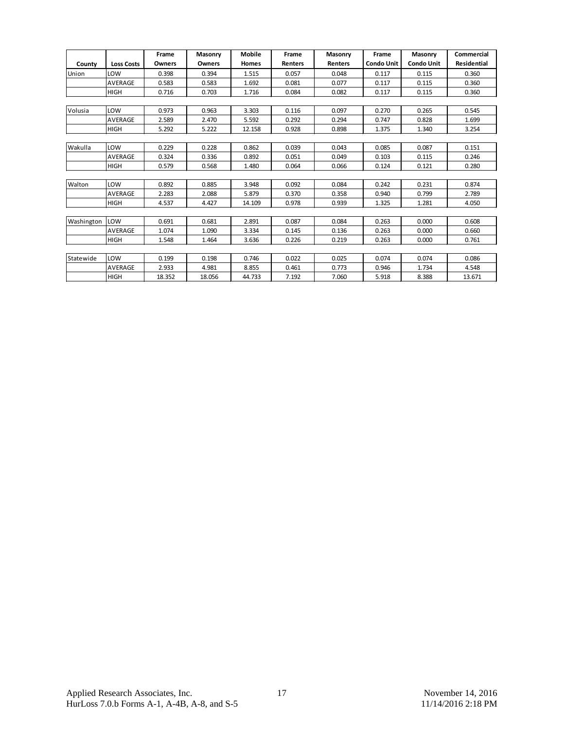|            |                   | Frame  | <b>Masonry</b> | Mobile       | Frame          | <b>Masonry</b> | Frame             | Masonry           | Commercial         |
|------------|-------------------|--------|----------------|--------------|----------------|----------------|-------------------|-------------------|--------------------|
| County     | <b>Loss Costs</b> | Owners | <b>Owners</b>  | <b>Homes</b> | <b>Renters</b> | <b>Renters</b> | <b>Condo Unit</b> | <b>Condo Unit</b> | <b>Residential</b> |
| Union      | LOW               | 0.398  | 0.394          | 1.515        | 0.057          | 0.048          | 0.117             | 0.115             | 0.360              |
|            | <b>AVERAGE</b>    | 0.583  | 0.583          | 1.692        | 0.081          | 0.077          | 0.117             | 0.115             | 0.360              |
|            | <b>HIGH</b>       | 0.716  | 0.703          | 1.716        | 0.084          | 0.082          | 0.117             | 0.115             | 0.360              |
|            |                   |        |                |              |                |                |                   |                   |                    |
| Volusia    | LOW               | 0.973  | 0.963          | 3.303        | 0.116          | 0.097          | 0.270             | 0.265             | 0.545              |
|            | AVERAGE           | 2.589  | 2.470          | 5.592        | 0.292          | 0.294          | 0.747             | 0.828             | 1.699              |
|            | <b>HIGH</b>       | 5.292  | 5.222          | 12.158       | 0.928          | 0.898          | 1.375             | 1.340             | 3.254              |
|            |                   |        |                |              |                |                |                   |                   |                    |
| Wakulla    | LOW               | 0.229  | 0.228          | 0.862        | 0.039          | 0.043          | 0.085             | 0.087             | 0.151              |
|            | AVERAGE           | 0.324  | 0.336          | 0.892        | 0.051          | 0.049          | 0.103             | 0.115             | 0.246              |
|            | <b>HIGH</b>       | 0.579  | 0.568          | 1.480        | 0.064          | 0.066          | 0.124             | 0.121             | 0.280              |
|            |                   |        |                |              |                |                |                   |                   |                    |
| Walton     | LOW               | 0.892  | 0.885          | 3.948        | 0.092          | 0.084          | 0.242             | 0.231             | 0.874              |
|            | <b>AVERAGE</b>    | 2.283  | 2.088          | 5.879        | 0.370          | 0.358          | 0.940             | 0.799             | 2.789              |
|            | <b>HIGH</b>       | 4.537  | 4.427          | 14.109       | 0.978          | 0.939          | 1.325             | 1.281             | 4.050              |
|            |                   |        |                |              |                |                |                   |                   |                    |
| Washington | LOW               | 0.691  | 0.681          | 2.891        | 0.087          | 0.084          | 0.263             | 0.000             | 0.608              |
|            | <b>AVERAGE</b>    | 1.074  | 1.090          | 3.334        | 0.145          | 0.136          | 0.263             | 0.000             | 0.660              |
|            | <b>HIGH</b>       | 1.548  | 1.464          | 3.636        | 0.226          | 0.219          | 0.263             | 0.000             | 0.761              |
|            |                   |        |                |              |                |                |                   |                   |                    |
| Statewide  | LOW               | 0.199  | 0.198          | 0.746        | 0.022          | 0.025          | 0.074             | 0.074             | 0.086              |
|            | <b>AVERAGE</b>    | 2.933  | 4.981          | 8.855        | 0.461          | 0.773          | 0.946             | 1.734             | 4.548              |
|            | <b>HIGH</b>       | 18.352 | 18.056         | 44.733       | 7.192          | 7.060          | 5.918             | 8.388             | 13.671             |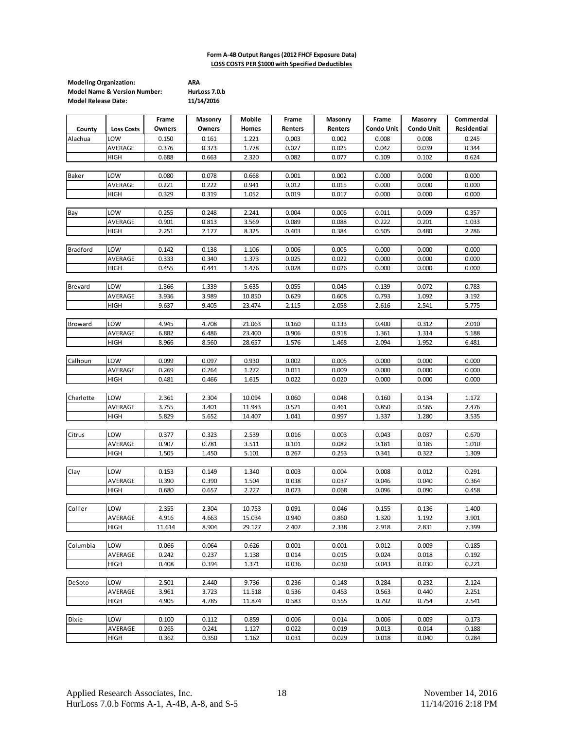#### **Form A-4B Output Ranges (2012 FHCF Exposure Data) LOSS COSTS PER \$1000 with Specified Deductibles**

| <b>Modeling Organization:</b>           | ARA           |
|-----------------------------------------|---------------|
| <b>Model Name &amp; Version Number:</b> | HurLoss 7.0.b |
| <b>Model Release Date:</b>              | 11/14/2016    |

| Owners<br><b>Condo Unit</b><br><b>Condo Unit</b><br>Residential<br>Owners<br>Homes<br>Renters<br>Renters<br>County<br><b>Loss Costs</b><br>LOW<br>0.008<br>0.150<br>0.161<br>1.221<br>0.003<br>0.002<br>0.008<br>0.245<br>Alachua<br>AVERAGE<br>0.376<br>0.373<br>1.778<br>0.027<br>0.025<br>0.042<br>0.039<br>0.344<br>0.624<br>0.688<br>0.663<br>2.320<br>0.082<br>0.077<br>0.109<br>0.102<br>HIGH<br>Baker<br>LOW<br>0.080<br>0.078<br>0.668<br>0.001<br>0.002<br>0.000<br>0.000<br>0.000<br>AVERAGE<br>0.221<br>0.222<br>0.941<br>0.012<br>0.015<br>0.000<br>0.000<br>0.000<br>HIGH<br>0.329<br>0.319<br>1.052<br>0.019<br>0.017<br>0.000<br>0.000<br>0.000<br>LOW<br>0.255<br>0.248<br>2.241<br>0.004<br>0.006<br>0.011<br>0.009<br>0.357<br>Bay<br>AVERAGE<br>0.901<br>0.813<br>3.569<br>0.089<br>0.088<br>0.222<br>0.201<br>1.033<br>2.251<br>0.384<br>2.286<br>HIGH<br>2.177<br>8.325<br>0.403<br>0.505<br>0.480<br><b>Bradford</b><br>LOW<br>0.142<br>0.138<br>1.106<br>0.006<br>0.005<br>0.000<br>0.000<br>0.000<br>AVERAGE<br>0.333<br>0.340<br>0.022<br>0.000<br>0.000<br>0.000<br>1.373<br>0.025<br>0.455<br>0.441<br>1.476<br>0.028<br>0.026<br>0.000<br>0.000<br>0.000<br>HIGH<br>Brevard<br>LOW<br>1.366<br>1.339<br>5.635<br>0.055<br>0.045<br>0.139<br>0.783<br>0.072<br>AVERAGE<br>3.936<br>3.989<br>10.850<br>0.629<br>0.608<br>0.793<br>1.092<br>3.192<br>9.637<br><b>HIGH</b><br>9.405<br>23.474<br>2.115<br>2.058<br>2.616<br>2.541<br>5.775<br>4.945<br>LOW<br>4.708<br>21.063<br>0.160<br>0.133<br>0.312<br>2.010<br>Broward<br>0.400<br>AVERAGE<br>6.882<br>6.486<br>23.400<br>0.906<br>0.918<br>1.361<br>1.314<br>5.188<br>8.966<br>8.560<br>28.657<br>1.576<br>1.468<br>2.094<br>1.952<br>6.481<br>HIGH<br>Calhoun<br>LOW<br>0.099<br>0.097<br>0.930<br>0.002<br>0.005<br>0.000<br>0.000<br>0.000<br>0.269<br>AVERAGE<br>0.264<br>1.272<br>0.011<br>0.009<br>0.000<br>0.000<br>0.000<br>0.481<br>0.466<br>1.615<br>0.022<br>0.020<br>HIGH<br>0.000<br>0.000<br>0.000<br>Charlotte<br>LOW<br>2.361<br>2.304<br>10.094<br>0.060<br>0.048<br>0.160<br>0.134<br>1.172<br>AVERAGE<br>3.755<br>3.401<br>0.521<br>11.943<br>0.461<br>0.850<br>0.565<br>2.476<br>5.829<br>5.652<br>14.407<br>1.041<br>0.997<br>1.280<br>3.535<br>HIGH<br>1.337<br>Citrus<br>LOW<br>0.377<br>0.323<br>2.539<br>0.016<br>0.003<br>0.043<br>0.037<br>0.670<br>0.907<br>AVERAGE<br>0.781<br>3.511<br>0.101<br>0.082<br>0.181<br>0.185<br>1.010<br><b>HIGH</b><br>1.505<br>1.450<br>5.101<br>0.267<br>0.253<br>0.341<br>0.322<br>1.309<br>LOW<br>1.340<br>0.003<br>0.004<br>0.291<br>Clay<br>0.153<br>0.149<br>0.008<br>0.012<br>AVERAGE<br>0.390<br>0.390<br>1.504<br>0.038<br>0.037<br>0.046<br>0.040<br>0.364<br>2.227<br><b>HIGH</b><br>0.680<br>0.657<br>0.073<br>0.068<br>0.096<br>0.090<br>0.458<br>Collier<br>LOW<br>2.355<br>2.304<br>10.753<br>0.091<br>0.046<br>0.155<br>0.136<br>1.400<br>AVERAGE<br>4.916<br>4.663<br>15.034<br>0.940<br>0.860<br>1.320<br>1.192<br>3.901<br>29.127<br>7.399<br><b>HIGH</b><br>11.614<br>8.904<br>2.407<br>2.338<br>2.918<br>2.831<br>Columbia<br>LOW<br>0.066<br>0.064<br>0.626<br>0.001<br>0.001<br>0.012<br>0.009<br>0.185<br>AVERAGE<br>0.242<br>0.237<br>1.138<br>0.014<br>0.015<br>0.024<br>0.018<br>0.192<br><b>HIGH</b><br>0.408<br>0.394<br>1.371<br>0.036<br>0.030<br>0.043<br>0.030<br>0.221 |        |     | Frame | Masonry | Mobile | Frame | Masonry | Frame | Masonry | Commercial |
|-----------------------------------------------------------------------------------------------------------------------------------------------------------------------------------------------------------------------------------------------------------------------------------------------------------------------------------------------------------------------------------------------------------------------------------------------------------------------------------------------------------------------------------------------------------------------------------------------------------------------------------------------------------------------------------------------------------------------------------------------------------------------------------------------------------------------------------------------------------------------------------------------------------------------------------------------------------------------------------------------------------------------------------------------------------------------------------------------------------------------------------------------------------------------------------------------------------------------------------------------------------------------------------------------------------------------------------------------------------------------------------------------------------------------------------------------------------------------------------------------------------------------------------------------------------------------------------------------------------------------------------------------------------------------------------------------------------------------------------------------------------------------------------------------------------------------------------------------------------------------------------------------------------------------------------------------------------------------------------------------------------------------------------------------------------------------------------------------------------------------------------------------------------------------------------------------------------------------------------------------------------------------------------------------------------------------------------------------------------------------------------------------------------------------------------------------------------------------------------------------------------------------------------------------------------------------------------------------------------------------------------------------------------------------------------------------------------------------------------------------------------------------------------------------------------------------------------------------------------------------------------------------------------------------------------------------------------------------------------------------------------------------------------------------------------------------------------------------------------------------------------------------------------------------------------------------------------------------------------------------------------------------------------------------------------------------------------------------------|--------|-----|-------|---------|--------|-------|---------|-------|---------|------------|
|                                                                                                                                                                                                                                                                                                                                                                                                                                                                                                                                                                                                                                                                                                                                                                                                                                                                                                                                                                                                                                                                                                                                                                                                                                                                                                                                                                                                                                                                                                                                                                                                                                                                                                                                                                                                                                                                                                                                                                                                                                                                                                                                                                                                                                                                                                                                                                                                                                                                                                                                                                                                                                                                                                                                                                                                                                                                                                                                                                                                                                                                                                                                                                                                                                                                                                                                                     |        |     |       |         |        |       |         |       |         |            |
|                                                                                                                                                                                                                                                                                                                                                                                                                                                                                                                                                                                                                                                                                                                                                                                                                                                                                                                                                                                                                                                                                                                                                                                                                                                                                                                                                                                                                                                                                                                                                                                                                                                                                                                                                                                                                                                                                                                                                                                                                                                                                                                                                                                                                                                                                                                                                                                                                                                                                                                                                                                                                                                                                                                                                                                                                                                                                                                                                                                                                                                                                                                                                                                                                                                                                                                                                     |        |     |       |         |        |       |         |       |         |            |
|                                                                                                                                                                                                                                                                                                                                                                                                                                                                                                                                                                                                                                                                                                                                                                                                                                                                                                                                                                                                                                                                                                                                                                                                                                                                                                                                                                                                                                                                                                                                                                                                                                                                                                                                                                                                                                                                                                                                                                                                                                                                                                                                                                                                                                                                                                                                                                                                                                                                                                                                                                                                                                                                                                                                                                                                                                                                                                                                                                                                                                                                                                                                                                                                                                                                                                                                                     |        |     |       |         |        |       |         |       |         |            |
|                                                                                                                                                                                                                                                                                                                                                                                                                                                                                                                                                                                                                                                                                                                                                                                                                                                                                                                                                                                                                                                                                                                                                                                                                                                                                                                                                                                                                                                                                                                                                                                                                                                                                                                                                                                                                                                                                                                                                                                                                                                                                                                                                                                                                                                                                                                                                                                                                                                                                                                                                                                                                                                                                                                                                                                                                                                                                                                                                                                                                                                                                                                                                                                                                                                                                                                                                     |        |     |       |         |        |       |         |       |         |            |
|                                                                                                                                                                                                                                                                                                                                                                                                                                                                                                                                                                                                                                                                                                                                                                                                                                                                                                                                                                                                                                                                                                                                                                                                                                                                                                                                                                                                                                                                                                                                                                                                                                                                                                                                                                                                                                                                                                                                                                                                                                                                                                                                                                                                                                                                                                                                                                                                                                                                                                                                                                                                                                                                                                                                                                                                                                                                                                                                                                                                                                                                                                                                                                                                                                                                                                                                                     |        |     |       |         |        |       |         |       |         |            |
|                                                                                                                                                                                                                                                                                                                                                                                                                                                                                                                                                                                                                                                                                                                                                                                                                                                                                                                                                                                                                                                                                                                                                                                                                                                                                                                                                                                                                                                                                                                                                                                                                                                                                                                                                                                                                                                                                                                                                                                                                                                                                                                                                                                                                                                                                                                                                                                                                                                                                                                                                                                                                                                                                                                                                                                                                                                                                                                                                                                                                                                                                                                                                                                                                                                                                                                                                     |        |     |       |         |        |       |         |       |         |            |
|                                                                                                                                                                                                                                                                                                                                                                                                                                                                                                                                                                                                                                                                                                                                                                                                                                                                                                                                                                                                                                                                                                                                                                                                                                                                                                                                                                                                                                                                                                                                                                                                                                                                                                                                                                                                                                                                                                                                                                                                                                                                                                                                                                                                                                                                                                                                                                                                                                                                                                                                                                                                                                                                                                                                                                                                                                                                                                                                                                                                                                                                                                                                                                                                                                                                                                                                                     |        |     |       |         |        |       |         |       |         |            |
|                                                                                                                                                                                                                                                                                                                                                                                                                                                                                                                                                                                                                                                                                                                                                                                                                                                                                                                                                                                                                                                                                                                                                                                                                                                                                                                                                                                                                                                                                                                                                                                                                                                                                                                                                                                                                                                                                                                                                                                                                                                                                                                                                                                                                                                                                                                                                                                                                                                                                                                                                                                                                                                                                                                                                                                                                                                                                                                                                                                                                                                                                                                                                                                                                                                                                                                                                     |        |     |       |         |        |       |         |       |         |            |
|                                                                                                                                                                                                                                                                                                                                                                                                                                                                                                                                                                                                                                                                                                                                                                                                                                                                                                                                                                                                                                                                                                                                                                                                                                                                                                                                                                                                                                                                                                                                                                                                                                                                                                                                                                                                                                                                                                                                                                                                                                                                                                                                                                                                                                                                                                                                                                                                                                                                                                                                                                                                                                                                                                                                                                                                                                                                                                                                                                                                                                                                                                                                                                                                                                                                                                                                                     |        |     |       |         |        |       |         |       |         |            |
|                                                                                                                                                                                                                                                                                                                                                                                                                                                                                                                                                                                                                                                                                                                                                                                                                                                                                                                                                                                                                                                                                                                                                                                                                                                                                                                                                                                                                                                                                                                                                                                                                                                                                                                                                                                                                                                                                                                                                                                                                                                                                                                                                                                                                                                                                                                                                                                                                                                                                                                                                                                                                                                                                                                                                                                                                                                                                                                                                                                                                                                                                                                                                                                                                                                                                                                                                     |        |     |       |         |        |       |         |       |         |            |
|                                                                                                                                                                                                                                                                                                                                                                                                                                                                                                                                                                                                                                                                                                                                                                                                                                                                                                                                                                                                                                                                                                                                                                                                                                                                                                                                                                                                                                                                                                                                                                                                                                                                                                                                                                                                                                                                                                                                                                                                                                                                                                                                                                                                                                                                                                                                                                                                                                                                                                                                                                                                                                                                                                                                                                                                                                                                                                                                                                                                                                                                                                                                                                                                                                                                                                                                                     |        |     |       |         |        |       |         |       |         |            |
|                                                                                                                                                                                                                                                                                                                                                                                                                                                                                                                                                                                                                                                                                                                                                                                                                                                                                                                                                                                                                                                                                                                                                                                                                                                                                                                                                                                                                                                                                                                                                                                                                                                                                                                                                                                                                                                                                                                                                                                                                                                                                                                                                                                                                                                                                                                                                                                                                                                                                                                                                                                                                                                                                                                                                                                                                                                                                                                                                                                                                                                                                                                                                                                                                                                                                                                                                     |        |     |       |         |        |       |         |       |         |            |
|                                                                                                                                                                                                                                                                                                                                                                                                                                                                                                                                                                                                                                                                                                                                                                                                                                                                                                                                                                                                                                                                                                                                                                                                                                                                                                                                                                                                                                                                                                                                                                                                                                                                                                                                                                                                                                                                                                                                                                                                                                                                                                                                                                                                                                                                                                                                                                                                                                                                                                                                                                                                                                                                                                                                                                                                                                                                                                                                                                                                                                                                                                                                                                                                                                                                                                                                                     |        |     |       |         |        |       |         |       |         |            |
|                                                                                                                                                                                                                                                                                                                                                                                                                                                                                                                                                                                                                                                                                                                                                                                                                                                                                                                                                                                                                                                                                                                                                                                                                                                                                                                                                                                                                                                                                                                                                                                                                                                                                                                                                                                                                                                                                                                                                                                                                                                                                                                                                                                                                                                                                                                                                                                                                                                                                                                                                                                                                                                                                                                                                                                                                                                                                                                                                                                                                                                                                                                                                                                                                                                                                                                                                     |        |     |       |         |        |       |         |       |         |            |
|                                                                                                                                                                                                                                                                                                                                                                                                                                                                                                                                                                                                                                                                                                                                                                                                                                                                                                                                                                                                                                                                                                                                                                                                                                                                                                                                                                                                                                                                                                                                                                                                                                                                                                                                                                                                                                                                                                                                                                                                                                                                                                                                                                                                                                                                                                                                                                                                                                                                                                                                                                                                                                                                                                                                                                                                                                                                                                                                                                                                                                                                                                                                                                                                                                                                                                                                                     |        |     |       |         |        |       |         |       |         |            |
|                                                                                                                                                                                                                                                                                                                                                                                                                                                                                                                                                                                                                                                                                                                                                                                                                                                                                                                                                                                                                                                                                                                                                                                                                                                                                                                                                                                                                                                                                                                                                                                                                                                                                                                                                                                                                                                                                                                                                                                                                                                                                                                                                                                                                                                                                                                                                                                                                                                                                                                                                                                                                                                                                                                                                                                                                                                                                                                                                                                                                                                                                                                                                                                                                                                                                                                                                     |        |     |       |         |        |       |         |       |         |            |
|                                                                                                                                                                                                                                                                                                                                                                                                                                                                                                                                                                                                                                                                                                                                                                                                                                                                                                                                                                                                                                                                                                                                                                                                                                                                                                                                                                                                                                                                                                                                                                                                                                                                                                                                                                                                                                                                                                                                                                                                                                                                                                                                                                                                                                                                                                                                                                                                                                                                                                                                                                                                                                                                                                                                                                                                                                                                                                                                                                                                                                                                                                                                                                                                                                                                                                                                                     |        |     |       |         |        |       |         |       |         |            |
|                                                                                                                                                                                                                                                                                                                                                                                                                                                                                                                                                                                                                                                                                                                                                                                                                                                                                                                                                                                                                                                                                                                                                                                                                                                                                                                                                                                                                                                                                                                                                                                                                                                                                                                                                                                                                                                                                                                                                                                                                                                                                                                                                                                                                                                                                                                                                                                                                                                                                                                                                                                                                                                                                                                                                                                                                                                                                                                                                                                                                                                                                                                                                                                                                                                                                                                                                     |        |     |       |         |        |       |         |       |         |            |
|                                                                                                                                                                                                                                                                                                                                                                                                                                                                                                                                                                                                                                                                                                                                                                                                                                                                                                                                                                                                                                                                                                                                                                                                                                                                                                                                                                                                                                                                                                                                                                                                                                                                                                                                                                                                                                                                                                                                                                                                                                                                                                                                                                                                                                                                                                                                                                                                                                                                                                                                                                                                                                                                                                                                                                                                                                                                                                                                                                                                                                                                                                                                                                                                                                                                                                                                                     |        |     |       |         |        |       |         |       |         |            |
|                                                                                                                                                                                                                                                                                                                                                                                                                                                                                                                                                                                                                                                                                                                                                                                                                                                                                                                                                                                                                                                                                                                                                                                                                                                                                                                                                                                                                                                                                                                                                                                                                                                                                                                                                                                                                                                                                                                                                                                                                                                                                                                                                                                                                                                                                                                                                                                                                                                                                                                                                                                                                                                                                                                                                                                                                                                                                                                                                                                                                                                                                                                                                                                                                                                                                                                                                     |        |     |       |         |        |       |         |       |         |            |
|                                                                                                                                                                                                                                                                                                                                                                                                                                                                                                                                                                                                                                                                                                                                                                                                                                                                                                                                                                                                                                                                                                                                                                                                                                                                                                                                                                                                                                                                                                                                                                                                                                                                                                                                                                                                                                                                                                                                                                                                                                                                                                                                                                                                                                                                                                                                                                                                                                                                                                                                                                                                                                                                                                                                                                                                                                                                                                                                                                                                                                                                                                                                                                                                                                                                                                                                                     |        |     |       |         |        |       |         |       |         |            |
|                                                                                                                                                                                                                                                                                                                                                                                                                                                                                                                                                                                                                                                                                                                                                                                                                                                                                                                                                                                                                                                                                                                                                                                                                                                                                                                                                                                                                                                                                                                                                                                                                                                                                                                                                                                                                                                                                                                                                                                                                                                                                                                                                                                                                                                                                                                                                                                                                                                                                                                                                                                                                                                                                                                                                                                                                                                                                                                                                                                                                                                                                                                                                                                                                                                                                                                                                     |        |     |       |         |        |       |         |       |         |            |
|                                                                                                                                                                                                                                                                                                                                                                                                                                                                                                                                                                                                                                                                                                                                                                                                                                                                                                                                                                                                                                                                                                                                                                                                                                                                                                                                                                                                                                                                                                                                                                                                                                                                                                                                                                                                                                                                                                                                                                                                                                                                                                                                                                                                                                                                                                                                                                                                                                                                                                                                                                                                                                                                                                                                                                                                                                                                                                                                                                                                                                                                                                                                                                                                                                                                                                                                                     |        |     |       |         |        |       |         |       |         |            |
|                                                                                                                                                                                                                                                                                                                                                                                                                                                                                                                                                                                                                                                                                                                                                                                                                                                                                                                                                                                                                                                                                                                                                                                                                                                                                                                                                                                                                                                                                                                                                                                                                                                                                                                                                                                                                                                                                                                                                                                                                                                                                                                                                                                                                                                                                                                                                                                                                                                                                                                                                                                                                                                                                                                                                                                                                                                                                                                                                                                                                                                                                                                                                                                                                                                                                                                                                     |        |     |       |         |        |       |         |       |         |            |
|                                                                                                                                                                                                                                                                                                                                                                                                                                                                                                                                                                                                                                                                                                                                                                                                                                                                                                                                                                                                                                                                                                                                                                                                                                                                                                                                                                                                                                                                                                                                                                                                                                                                                                                                                                                                                                                                                                                                                                                                                                                                                                                                                                                                                                                                                                                                                                                                                                                                                                                                                                                                                                                                                                                                                                                                                                                                                                                                                                                                                                                                                                                                                                                                                                                                                                                                                     |        |     |       |         |        |       |         |       |         |            |
|                                                                                                                                                                                                                                                                                                                                                                                                                                                                                                                                                                                                                                                                                                                                                                                                                                                                                                                                                                                                                                                                                                                                                                                                                                                                                                                                                                                                                                                                                                                                                                                                                                                                                                                                                                                                                                                                                                                                                                                                                                                                                                                                                                                                                                                                                                                                                                                                                                                                                                                                                                                                                                                                                                                                                                                                                                                                                                                                                                                                                                                                                                                                                                                                                                                                                                                                                     |        |     |       |         |        |       |         |       |         |            |
|                                                                                                                                                                                                                                                                                                                                                                                                                                                                                                                                                                                                                                                                                                                                                                                                                                                                                                                                                                                                                                                                                                                                                                                                                                                                                                                                                                                                                                                                                                                                                                                                                                                                                                                                                                                                                                                                                                                                                                                                                                                                                                                                                                                                                                                                                                                                                                                                                                                                                                                                                                                                                                                                                                                                                                                                                                                                                                                                                                                                                                                                                                                                                                                                                                                                                                                                                     |        |     |       |         |        |       |         |       |         |            |
|                                                                                                                                                                                                                                                                                                                                                                                                                                                                                                                                                                                                                                                                                                                                                                                                                                                                                                                                                                                                                                                                                                                                                                                                                                                                                                                                                                                                                                                                                                                                                                                                                                                                                                                                                                                                                                                                                                                                                                                                                                                                                                                                                                                                                                                                                                                                                                                                                                                                                                                                                                                                                                                                                                                                                                                                                                                                                                                                                                                                                                                                                                                                                                                                                                                                                                                                                     |        |     |       |         |        |       |         |       |         |            |
|                                                                                                                                                                                                                                                                                                                                                                                                                                                                                                                                                                                                                                                                                                                                                                                                                                                                                                                                                                                                                                                                                                                                                                                                                                                                                                                                                                                                                                                                                                                                                                                                                                                                                                                                                                                                                                                                                                                                                                                                                                                                                                                                                                                                                                                                                                                                                                                                                                                                                                                                                                                                                                                                                                                                                                                                                                                                                                                                                                                                                                                                                                                                                                                                                                                                                                                                                     |        |     |       |         |        |       |         |       |         |            |
|                                                                                                                                                                                                                                                                                                                                                                                                                                                                                                                                                                                                                                                                                                                                                                                                                                                                                                                                                                                                                                                                                                                                                                                                                                                                                                                                                                                                                                                                                                                                                                                                                                                                                                                                                                                                                                                                                                                                                                                                                                                                                                                                                                                                                                                                                                                                                                                                                                                                                                                                                                                                                                                                                                                                                                                                                                                                                                                                                                                                                                                                                                                                                                                                                                                                                                                                                     |        |     |       |         |        |       |         |       |         |            |
|                                                                                                                                                                                                                                                                                                                                                                                                                                                                                                                                                                                                                                                                                                                                                                                                                                                                                                                                                                                                                                                                                                                                                                                                                                                                                                                                                                                                                                                                                                                                                                                                                                                                                                                                                                                                                                                                                                                                                                                                                                                                                                                                                                                                                                                                                                                                                                                                                                                                                                                                                                                                                                                                                                                                                                                                                                                                                                                                                                                                                                                                                                                                                                                                                                                                                                                                                     |        |     |       |         |        |       |         |       |         |            |
|                                                                                                                                                                                                                                                                                                                                                                                                                                                                                                                                                                                                                                                                                                                                                                                                                                                                                                                                                                                                                                                                                                                                                                                                                                                                                                                                                                                                                                                                                                                                                                                                                                                                                                                                                                                                                                                                                                                                                                                                                                                                                                                                                                                                                                                                                                                                                                                                                                                                                                                                                                                                                                                                                                                                                                                                                                                                                                                                                                                                                                                                                                                                                                                                                                                                                                                                                     |        |     |       |         |        |       |         |       |         |            |
|                                                                                                                                                                                                                                                                                                                                                                                                                                                                                                                                                                                                                                                                                                                                                                                                                                                                                                                                                                                                                                                                                                                                                                                                                                                                                                                                                                                                                                                                                                                                                                                                                                                                                                                                                                                                                                                                                                                                                                                                                                                                                                                                                                                                                                                                                                                                                                                                                                                                                                                                                                                                                                                                                                                                                                                                                                                                                                                                                                                                                                                                                                                                                                                                                                                                                                                                                     |        |     |       |         |        |       |         |       |         |            |
|                                                                                                                                                                                                                                                                                                                                                                                                                                                                                                                                                                                                                                                                                                                                                                                                                                                                                                                                                                                                                                                                                                                                                                                                                                                                                                                                                                                                                                                                                                                                                                                                                                                                                                                                                                                                                                                                                                                                                                                                                                                                                                                                                                                                                                                                                                                                                                                                                                                                                                                                                                                                                                                                                                                                                                                                                                                                                                                                                                                                                                                                                                                                                                                                                                                                                                                                                     |        |     |       |         |        |       |         |       |         |            |
|                                                                                                                                                                                                                                                                                                                                                                                                                                                                                                                                                                                                                                                                                                                                                                                                                                                                                                                                                                                                                                                                                                                                                                                                                                                                                                                                                                                                                                                                                                                                                                                                                                                                                                                                                                                                                                                                                                                                                                                                                                                                                                                                                                                                                                                                                                                                                                                                                                                                                                                                                                                                                                                                                                                                                                                                                                                                                                                                                                                                                                                                                                                                                                                                                                                                                                                                                     |        |     |       |         |        |       |         |       |         |            |
|                                                                                                                                                                                                                                                                                                                                                                                                                                                                                                                                                                                                                                                                                                                                                                                                                                                                                                                                                                                                                                                                                                                                                                                                                                                                                                                                                                                                                                                                                                                                                                                                                                                                                                                                                                                                                                                                                                                                                                                                                                                                                                                                                                                                                                                                                                                                                                                                                                                                                                                                                                                                                                                                                                                                                                                                                                                                                                                                                                                                                                                                                                                                                                                                                                                                                                                                                     |        |     |       |         |        |       |         |       |         |            |
|                                                                                                                                                                                                                                                                                                                                                                                                                                                                                                                                                                                                                                                                                                                                                                                                                                                                                                                                                                                                                                                                                                                                                                                                                                                                                                                                                                                                                                                                                                                                                                                                                                                                                                                                                                                                                                                                                                                                                                                                                                                                                                                                                                                                                                                                                                                                                                                                                                                                                                                                                                                                                                                                                                                                                                                                                                                                                                                                                                                                                                                                                                                                                                                                                                                                                                                                                     |        |     |       |         |        |       |         |       |         |            |
|                                                                                                                                                                                                                                                                                                                                                                                                                                                                                                                                                                                                                                                                                                                                                                                                                                                                                                                                                                                                                                                                                                                                                                                                                                                                                                                                                                                                                                                                                                                                                                                                                                                                                                                                                                                                                                                                                                                                                                                                                                                                                                                                                                                                                                                                                                                                                                                                                                                                                                                                                                                                                                                                                                                                                                                                                                                                                                                                                                                                                                                                                                                                                                                                                                                                                                                                                     |        |     |       |         |        |       |         |       |         |            |
|                                                                                                                                                                                                                                                                                                                                                                                                                                                                                                                                                                                                                                                                                                                                                                                                                                                                                                                                                                                                                                                                                                                                                                                                                                                                                                                                                                                                                                                                                                                                                                                                                                                                                                                                                                                                                                                                                                                                                                                                                                                                                                                                                                                                                                                                                                                                                                                                                                                                                                                                                                                                                                                                                                                                                                                                                                                                                                                                                                                                                                                                                                                                                                                                                                                                                                                                                     |        |     |       |         |        |       |         |       |         |            |
|                                                                                                                                                                                                                                                                                                                                                                                                                                                                                                                                                                                                                                                                                                                                                                                                                                                                                                                                                                                                                                                                                                                                                                                                                                                                                                                                                                                                                                                                                                                                                                                                                                                                                                                                                                                                                                                                                                                                                                                                                                                                                                                                                                                                                                                                                                                                                                                                                                                                                                                                                                                                                                                                                                                                                                                                                                                                                                                                                                                                                                                                                                                                                                                                                                                                                                                                                     |        |     |       |         |        |       |         |       |         |            |
|                                                                                                                                                                                                                                                                                                                                                                                                                                                                                                                                                                                                                                                                                                                                                                                                                                                                                                                                                                                                                                                                                                                                                                                                                                                                                                                                                                                                                                                                                                                                                                                                                                                                                                                                                                                                                                                                                                                                                                                                                                                                                                                                                                                                                                                                                                                                                                                                                                                                                                                                                                                                                                                                                                                                                                                                                                                                                                                                                                                                                                                                                                                                                                                                                                                                                                                                                     |        |     |       |         |        |       |         |       |         |            |
|                                                                                                                                                                                                                                                                                                                                                                                                                                                                                                                                                                                                                                                                                                                                                                                                                                                                                                                                                                                                                                                                                                                                                                                                                                                                                                                                                                                                                                                                                                                                                                                                                                                                                                                                                                                                                                                                                                                                                                                                                                                                                                                                                                                                                                                                                                                                                                                                                                                                                                                                                                                                                                                                                                                                                                                                                                                                                                                                                                                                                                                                                                                                                                                                                                                                                                                                                     |        |     |       |         |        |       |         |       |         |            |
|                                                                                                                                                                                                                                                                                                                                                                                                                                                                                                                                                                                                                                                                                                                                                                                                                                                                                                                                                                                                                                                                                                                                                                                                                                                                                                                                                                                                                                                                                                                                                                                                                                                                                                                                                                                                                                                                                                                                                                                                                                                                                                                                                                                                                                                                                                                                                                                                                                                                                                                                                                                                                                                                                                                                                                                                                                                                                                                                                                                                                                                                                                                                                                                                                                                                                                                                                     |        |     |       |         |        |       |         |       |         |            |
|                                                                                                                                                                                                                                                                                                                                                                                                                                                                                                                                                                                                                                                                                                                                                                                                                                                                                                                                                                                                                                                                                                                                                                                                                                                                                                                                                                                                                                                                                                                                                                                                                                                                                                                                                                                                                                                                                                                                                                                                                                                                                                                                                                                                                                                                                                                                                                                                                                                                                                                                                                                                                                                                                                                                                                                                                                                                                                                                                                                                                                                                                                                                                                                                                                                                                                                                                     |        |     |       |         |        |       |         |       |         |            |
|                                                                                                                                                                                                                                                                                                                                                                                                                                                                                                                                                                                                                                                                                                                                                                                                                                                                                                                                                                                                                                                                                                                                                                                                                                                                                                                                                                                                                                                                                                                                                                                                                                                                                                                                                                                                                                                                                                                                                                                                                                                                                                                                                                                                                                                                                                                                                                                                                                                                                                                                                                                                                                                                                                                                                                                                                                                                                                                                                                                                                                                                                                                                                                                                                                                                                                                                                     |        |     |       |         |        |       |         |       |         |            |
|                                                                                                                                                                                                                                                                                                                                                                                                                                                                                                                                                                                                                                                                                                                                                                                                                                                                                                                                                                                                                                                                                                                                                                                                                                                                                                                                                                                                                                                                                                                                                                                                                                                                                                                                                                                                                                                                                                                                                                                                                                                                                                                                                                                                                                                                                                                                                                                                                                                                                                                                                                                                                                                                                                                                                                                                                                                                                                                                                                                                                                                                                                                                                                                                                                                                                                                                                     |        |     |       |         |        |       |         |       |         |            |
|                                                                                                                                                                                                                                                                                                                                                                                                                                                                                                                                                                                                                                                                                                                                                                                                                                                                                                                                                                                                                                                                                                                                                                                                                                                                                                                                                                                                                                                                                                                                                                                                                                                                                                                                                                                                                                                                                                                                                                                                                                                                                                                                                                                                                                                                                                                                                                                                                                                                                                                                                                                                                                                                                                                                                                                                                                                                                                                                                                                                                                                                                                                                                                                                                                                                                                                                                     |        |     |       |         |        |       |         |       |         |            |
|                                                                                                                                                                                                                                                                                                                                                                                                                                                                                                                                                                                                                                                                                                                                                                                                                                                                                                                                                                                                                                                                                                                                                                                                                                                                                                                                                                                                                                                                                                                                                                                                                                                                                                                                                                                                                                                                                                                                                                                                                                                                                                                                                                                                                                                                                                                                                                                                                                                                                                                                                                                                                                                                                                                                                                                                                                                                                                                                                                                                                                                                                                                                                                                                                                                                                                                                                     | DeSoto | LOW | 2.501 | 2.440   | 9.736  | 0.236 | 0.148   | 0.284 | 0.232   | 2.124      |
| AVERAGE<br>3.961<br>3.723<br>11.518<br>0.536<br>0.453<br>0.563<br>0.440<br>2.251                                                                                                                                                                                                                                                                                                                                                                                                                                                                                                                                                                                                                                                                                                                                                                                                                                                                                                                                                                                                                                                                                                                                                                                                                                                                                                                                                                                                                                                                                                                                                                                                                                                                                                                                                                                                                                                                                                                                                                                                                                                                                                                                                                                                                                                                                                                                                                                                                                                                                                                                                                                                                                                                                                                                                                                                                                                                                                                                                                                                                                                                                                                                                                                                                                                                    |        |     |       |         |        |       |         |       |         |            |
| HIGH<br>4.905<br>4.785<br>11.874<br>0.583<br>0.555<br>0.792<br>0.754<br>2.541                                                                                                                                                                                                                                                                                                                                                                                                                                                                                                                                                                                                                                                                                                                                                                                                                                                                                                                                                                                                                                                                                                                                                                                                                                                                                                                                                                                                                                                                                                                                                                                                                                                                                                                                                                                                                                                                                                                                                                                                                                                                                                                                                                                                                                                                                                                                                                                                                                                                                                                                                                                                                                                                                                                                                                                                                                                                                                                                                                                                                                                                                                                                                                                                                                                                       |        |     |       |         |        |       |         |       |         |            |
|                                                                                                                                                                                                                                                                                                                                                                                                                                                                                                                                                                                                                                                                                                                                                                                                                                                                                                                                                                                                                                                                                                                                                                                                                                                                                                                                                                                                                                                                                                                                                                                                                                                                                                                                                                                                                                                                                                                                                                                                                                                                                                                                                                                                                                                                                                                                                                                                                                                                                                                                                                                                                                                                                                                                                                                                                                                                                                                                                                                                                                                                                                                                                                                                                                                                                                                                                     |        |     |       |         |        |       |         |       |         |            |
| Dixie<br>LOW<br>0.100<br>0.112<br>0.859<br>0.006<br>0.014<br>0.006<br>0.009<br>0.173                                                                                                                                                                                                                                                                                                                                                                                                                                                                                                                                                                                                                                                                                                                                                                                                                                                                                                                                                                                                                                                                                                                                                                                                                                                                                                                                                                                                                                                                                                                                                                                                                                                                                                                                                                                                                                                                                                                                                                                                                                                                                                                                                                                                                                                                                                                                                                                                                                                                                                                                                                                                                                                                                                                                                                                                                                                                                                                                                                                                                                                                                                                                                                                                                                                                |        |     |       |         |        |       |         |       |         |            |
| AVERAGE<br>0.265<br>0.241<br>1.127<br>0.022<br>0.019<br>0.014<br>0.188<br>0.013                                                                                                                                                                                                                                                                                                                                                                                                                                                                                                                                                                                                                                                                                                                                                                                                                                                                                                                                                                                                                                                                                                                                                                                                                                                                                                                                                                                                                                                                                                                                                                                                                                                                                                                                                                                                                                                                                                                                                                                                                                                                                                                                                                                                                                                                                                                                                                                                                                                                                                                                                                                                                                                                                                                                                                                                                                                                                                                                                                                                                                                                                                                                                                                                                                                                     |        |     |       |         |        |       |         |       |         |            |
| 0.362<br>0.350<br>0.031<br>0.029<br>0.018<br>0.040<br>0.284<br>HIGH<br>1.162                                                                                                                                                                                                                                                                                                                                                                                                                                                                                                                                                                                                                                                                                                                                                                                                                                                                                                                                                                                                                                                                                                                                                                                                                                                                                                                                                                                                                                                                                                                                                                                                                                                                                                                                                                                                                                                                                                                                                                                                                                                                                                                                                                                                                                                                                                                                                                                                                                                                                                                                                                                                                                                                                                                                                                                                                                                                                                                                                                                                                                                                                                                                                                                                                                                                        |        |     |       |         |        |       |         |       |         |            |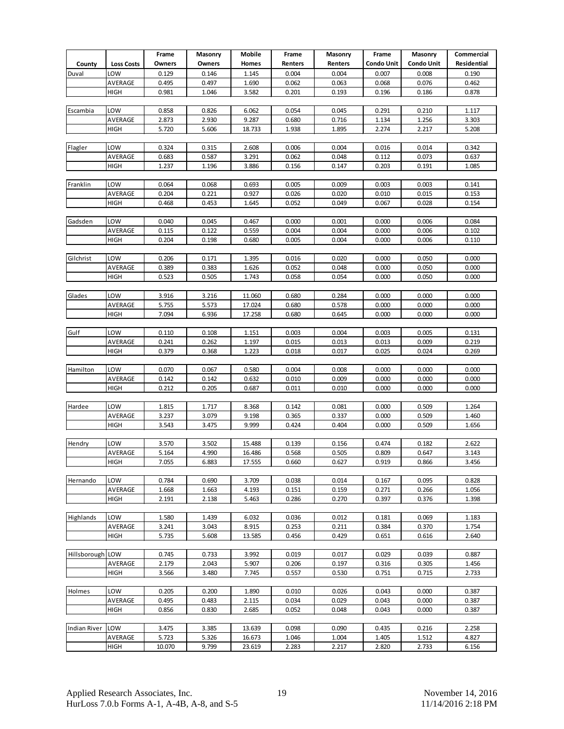|                     |                   | Frame          | Masonry        | Mobile | Frame   | Masonry        | Frame             | Masonry           | Commercial  |
|---------------------|-------------------|----------------|----------------|--------|---------|----------------|-------------------|-------------------|-------------|
| County              | <b>Loss Costs</b> | Owners         | Owners         | Homes  | Renters | <b>Renters</b> | <b>Condo Unit</b> | <b>Condo Unit</b> | Residential |
| Duval               | LOW               | 0.129          | 0.146          | 1.145  | 0.004   | 0.004          | 0.007             | 0.008             | 0.190       |
|                     | AVERAGE           | 0.495          | 0.497          | 1.690  | 0.062   | 0.063          | 0.068             | 0.076             | 0.462       |
|                     | HIGH              | 0.981          | 1.046          | 3.582  | 0.201   | 0.193          | 0.196             | 0.186             | 0.878       |
|                     |                   |                |                |        |         |                |                   |                   |             |
| Escambia            | LOW               | 0.858          | 0.826          | 6.062  | 0.054   | 0.045          | 0.291             | 0.210             | 1.117       |
|                     | AVERAGE           | 2.873          | 2.930          | 9.287  | 0.680   | 0.716          | 1.134             | 1.256             | 3.303       |
|                     | HIGH              | 5.720          | 5.606          | 18.733 | 1.938   | 1.895          | 2.274             | 2.217             | 5.208       |
|                     |                   |                |                |        |         |                |                   |                   |             |
| Flagler             | LOW               | 0.324          | 0.315          | 2.608  | 0.006   | 0.004          | 0.016             | 0.014             | 0.342       |
|                     | AVERAGE           | 0.683          | 0.587          | 3.291  | 0.062   | 0.048          | 0.112             | 0.073             | 0.637       |
|                     | HIGH              | 1.237          | 1.196          | 3.886  | 0.156   | 0.147          | 0.203             | 0.191             | 1.085       |
|                     |                   |                |                |        |         |                |                   |                   |             |
| Franklin            | LOW               | 0.064          | 0.068          | 0.693  | 0.005   | 0.009          | 0.003             | 0.003             | 0.141       |
|                     | AVERAGE           | 0.204          | 0.221          | 0.927  | 0.026   | 0.020          | 0.010             | 0.015             | 0.153       |
|                     | HIGH              | 0.468          | 0.453          | 1.645  | 0.052   | 0.049          | 0.067             | 0.028             | 0.154       |
|                     |                   |                |                |        |         |                |                   |                   |             |
| Gadsden             | LOW               | 0.040          | 0.045          | 0.467  | 0.000   | 0.001          | 0.000             | 0.006             | 0.084       |
|                     | AVERAGE           | 0.115          | 0.122          | 0.559  | 0.004   | 0.004          | 0.000             | 0.006             | 0.102       |
|                     | <b>HIGH</b>       | 0.204          | 0.198          | 0.680  | 0.005   | 0.004          | 0.000             | 0.006             | 0.110       |
| Gilchrist           |                   |                |                |        |         |                |                   |                   |             |
|                     | LOW               | 0.206          | 0.171          | 1.395  | 0.016   | 0.020          | 0.000             | 0.050             | 0.000       |
|                     | AVERAGE           | 0.389          | 0.383          | 1.626  | 0.052   | 0.048          | 0.000             | 0.050             | 0.000       |
|                     | <b>HIGH</b>       | 0.523          | 0.505          | 1.743  | 0.058   | 0.054          | 0.000             | 0.050             | 0.000       |
| Glades              | LOW               | 3.916          | 3.216          | 11.060 | 0.680   | 0.284          | 0.000             | 0.000             | 0.000       |
|                     | AVERAGE           | 5.755          | 5.573          | 17.024 | 0.680   | 0.578          | 0.000             | 0.000             | 0.000       |
|                     | HIGH              | 7.094          | 6.936          | 17.258 | 0.680   | 0.645          | 0.000             | 0.000             | 0.000       |
|                     |                   |                |                |        |         |                |                   |                   |             |
| Gulf                | LOW               | 0.110          | 0.108          | 1.151  | 0.003   | 0.004          | 0.003             | 0.005             | 0.131       |
|                     | AVERAGE           | 0.241          | 0.262          | 1.197  | 0.015   | 0.013          | 0.013             | 0.009             | 0.219       |
|                     | <b>HIGH</b>       | 0.379          | 0.368          | 1.223  | 0.018   | 0.017          | 0.025             | 0.024             | 0.269       |
|                     |                   |                |                |        |         |                |                   |                   |             |
| Hamilton            | LOW               | 0.070          | 0.067          | 0.580  | 0.004   | 0.008          | 0.000             | 0.000             | 0.000       |
|                     | AVERAGE           | 0.142          | 0.142          | 0.632  | 0.010   | 0.009          | 0.000             | 0.000             | 0.000       |
|                     | HIGH              | 0.212          | 0.205          | 0.687  | 0.011   | 0.010          | 0.000             | 0.000             | 0.000       |
|                     |                   |                |                |        |         |                |                   |                   |             |
| Hardee              | LOW               | 1.815          | 1.717          | 8.368  | 0.142   | 0.081          | 0.000             | 0.509             | 1.264       |
|                     | AVERAGE           | 3.237          | 3.079          | 9.198  | 0.365   | 0.337          | 0.000             | 0.509             | 1.460       |
|                     | <b>HIGH</b>       | 3.543          | 3.475          | 9.999  | 0.424   | 0.404          | 0.000             | 0.509             | 1.656       |
|                     |                   |                |                |        |         |                |                   |                   |             |
| Hendry              | LOW               | 3.570          | 3.502          | 15.488 | 0.139   | 0.156          | 0.474             | 0.182             | 2.622       |
|                     | AVERAGE           | 5.164          | 4.990          | 16.486 | 0.568   | 0.505          | 0.809             | 0.647             | 3.143       |
|                     | <b>HIGH</b>       | 7.055          | 6.883          | 17.555 | 0.660   | 0.62/          | 0.919             | 0.866             | 3.456       |
|                     |                   |                |                |        |         |                |                   |                   |             |
| Hernando            | LOW               | 0.784          | 0.690          | 3.709  | 0.038   | 0.014          | 0.167             | 0.095             | 0.828       |
|                     | AVERAGE           | 1.668          | 1.663          | 4.193  | 0.151   | 0.159          | 0.271             | 0.266             | 1.056       |
|                     | <b>HIGH</b>       | 2.191          | 2.138          | 5.463  | 0.286   | 0.270          | 0.397             | 0.376             | 1.398       |
|                     |                   |                |                |        |         |                |                   |                   |             |
| Highlands           | LOW               | 1.580          | 1.439          | 6.032  | 0.036   | 0.012          | 0.181             | 0.069             | 1.183       |
|                     | AVERAGE           | 3.241          | 3.043          | 8.915  | 0.253   | 0.211          | 0.384             | 0.370             | 1.754       |
|                     | HIGH              | 5.735          | 5.608          | 13.585 | 0.456   | 0.429          | 0.651             | 0.616             | 2.640       |
| Hillsborough LOW    |                   |                |                | 3.992  | 0.019   | 0.017          | 0.029             | 0.039             | 0.887       |
|                     | AVERAGE           | 0.745<br>2.179 | 0.733<br>2.043 | 5.907  | 0.206   | 0.197          | 0.316             | 0.305             | 1.456       |
|                     | <b>HIGH</b>       | 3.566          | 3.480          | 7.745  | 0.557   | 0.530          | 0.751             | 0.715             | 2.733       |
|                     |                   |                |                |        |         |                |                   |                   |             |
| Holmes              | LOW               | 0.205          | 0.200          | 1.890  | 0.010   | 0.026          | 0.043             | 0.000             | 0.387       |
|                     | AVERAGE           | 0.495          | 0.483          | 2.115  | 0.034   | 0.029          | 0.043             | 0.000             | 0.387       |
|                     | <b>HIGH</b>       | 0.856          | 0.830          | 2.685  | 0.052   | 0.048          | 0.043             | 0.000             | 0.387       |
|                     |                   |                |                |        |         |                |                   |                   |             |
| <b>Indian River</b> | LOW               | 3.475          | 3.385          | 13.639 | 0.098   | 0.090          | 0.435             | 0.216             | 2.258       |
|                     | AVERAGE           | 5.723          | 5.326          | 16.673 | 1.046   | 1.004          | 1.405             | 1.512             | 4.827       |
|                     | HIGH              | 10.070         | 9.799          | 23.619 | 2.283   | 2.217          | 2.820             | 2.733             | 6.156       |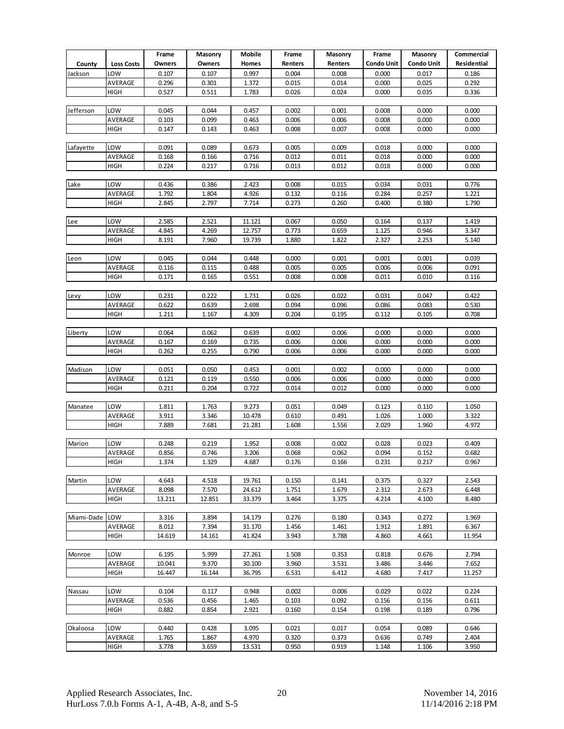|                |                   | Frame         | Masonry | Mobile | Frame   | Masonry | Frame      | Masonry           | Commercial  |
|----------------|-------------------|---------------|---------|--------|---------|---------|------------|-------------------|-------------|
| County         | <b>Loss Costs</b> | <b>Owners</b> | Owners  | Homes  | Renters | Renters | Condo Unit | <b>Condo Unit</b> | Residential |
| Jackson        | LOW               | 0.107         | 0.107   | 0.997  | 0.004   | 0.008   | 0.000      | 0.017             | 0.186       |
|                | AVERAGE           | 0.296         | 0.301   | 1.372  | 0.015   | 0.014   | 0.000      | 0.025             | 0.292       |
|                | HIGH              | 0.527         | 0.511   | 1.783  | 0.026   | 0.024   | 0.000      | 0.035             | 0.336       |
|                |                   |               |         |        |         |         |            |                   |             |
| Jefferson      | LOW               | 0.045         | 0.044   | 0.457  | 0.002   | 0.001   | 0.008      | 0.000             | 0.000       |
|                | AVERAGE           | 0.103         | 0.099   | 0.463  | 0.006   | 0.006   | 0.008      | 0.000             | 0.000       |
|                | HIGH              | 0.147         | 0.143   | 0.463  | 0.008   | 0.007   | 0.008      | 0.000             | 0.000       |
|                |                   |               |         |        |         |         |            |                   |             |
| Lafayette      | LOW               | 0.091         | 0.089   | 0.673  | 0.005   | 0.009   | 0.018      | 0.000             | 0.000       |
|                | AVERAGE           | 0.168         | 0.166   | 0.716  | 0.012   | 0.011   | 0.018      | 0.000             | 0.000       |
|                | HIGH              | 0.224         | 0.217   | 0.716  | 0.013   | 0.012   | 0.018      | 0.000             | 0.000       |
|                |                   |               |         |        |         |         |            |                   |             |
| Lake           | LOW               | 0.436         | 0.386   | 2.423  | 0.008   | 0.015   | 0.034      | 0.031             | 0.776       |
|                | AVERAGE           | 1.792         | 1.804   | 4.926  | 0.132   | 0.116   | 0.284      | 0.257             | 1.221       |
|                | HIGH              | 2.845         | 2.797   | 7.714  | 0.273   | 0.260   | 0.400      | 0.380             | 1.790       |
|                |                   |               |         |        |         |         |            |                   |             |
| Lee            | LOW               | 2.585         | 2.521   | 11.121 | 0.067   | 0.050   | 0.164      | 0.137             | 1.419       |
|                | AVERAGE           | 4.845         | 4.269   | 12.757 | 0.773   | 0.659   | 1.125      | 0.946             | 3.347       |
|                | HIGH              | 8.191         | 7.960   | 19.739 | 1.880   | 1.822   | 2.327      | 2.253             | 5.140       |
|                |                   |               |         |        |         |         |            |                   |             |
| Leon           | LOW               | 0.045         | 0.044   | 0.448  | 0.000   | 0.001   | 0.001      | 0.001             | 0.039       |
|                | AVERAGE           | 0.116         | 0.115   | 0.488  | 0.005   | 0.005   | 0.006      | 0.006             | 0.091       |
|                | HIGH              | 0.171         | 0.165   | 0.551  | 0.008   | 0.008   | 0.011      | 0.010             | 0.116       |
|                |                   |               |         |        |         |         |            |                   |             |
| Levy           | LOW               | 0.231         | 0.222   | 1.731  | 0.026   | 0.022   | 0.031      | 0.047             | 0.422       |
|                | AVERAGE           | 0.622         | 0.639   | 2.698  | 0.094   | 0.096   | 0.086      | 0.083             | 0.530       |
|                | HIGH              | 1.211         | 1.167   | 4.309  | 0.204   | 0.195   | 0.112      | 0.105             | 0.708       |
|                |                   |               |         |        |         |         |            |                   |             |
| Liberty        | LOW               | 0.064         | 0.062   | 0.639  | 0.002   | 0.006   | 0.000      | 0.000             | 0.000       |
|                | AVERAGE           | 0.167         | 0.169   | 0.735  | 0.006   | 0.006   | 0.000      | 0.000             | 0.000       |
|                | HIGH              | 0.262         | 0.255   | 0.790  | 0.006   | 0.006   | 0.000      | 0.000             | 0.000       |
| Madison        | LOW               | 0.051         | 0.050   | 0.453  | 0.001   | 0.002   | 0.000      | 0.000             | 0.000       |
|                | AVERAGE           | 0.121         | 0.119   | 0.550  | 0.006   | 0.006   | 0.000      | 0.000             | 0.000       |
|                | HIGH              | 0.211         | 0.204   | 0.722  | 0.014   | 0.012   | 0.000      | 0.000             | 0.000       |
|                |                   |               |         |        |         |         |            |                   |             |
| Manatee        | LOW               | 1.811         | 1.763   | 9.273  | 0.051   | 0.049   | 0.123      | 0.110             | 1.050       |
|                | AVERAGE           | 3.911         | 3.346   | 10.478 | 0.610   | 0.491   | 1.026      | 1.000             | 3.322       |
|                | HIGH              | 7.889         | 7.681   | 21.281 | 1.608   | 1.556   | 2.029      | 1.960             | 4.972       |
|                |                   |               |         |        |         |         |            |                   |             |
| Marion         | LOW               | 0.248         | 0.219   | 1.952  | 0.008   | 0.002   | 0.028      | 0.023             | 0.409       |
|                | AVERAGE           | 0.856         | 0.746   | 3.206  | 0.068   | 0.062   | 0.094      | 0.152             | 0.682       |
|                | <b>HIGH</b>       | 1.3/4         | 1.329   | 4.68/  | 0.1/6   | 0.166   | 0.231      | 0.21/             | 0.96/       |
|                |                   |               |         |        |         |         |            |                   |             |
| Martin         | LOW               | 4.643         | 4.518   | 19.761 | 0.150   | 0.141   | 0.375      | 0.327             | 2.543       |
|                | AVERAGE           | 8.098         | 7.570   | 24.612 | 1.751   | 1.679   | 2.312      | 2.673             | 6.448       |
|                | HIGH              | 13.211        | 12.851  | 33.379 | 3.464   | 3.375   | 4.214      | 4.100             | 8.480       |
|                |                   |               |         |        |         |         |            |                   |             |
| Miami-Dade LOW |                   | 3.316         | 3.894   | 14.179 | 0.276   | 0.180   | 0.343      | 0.272             | 1.969       |
|                | AVERAGE           | 8.012         | 7.394   | 31.170 | 1.456   | 1.461   | 1.912      | 1.891             | 6.367       |
|                | HIGH              | 14.619        | 14.161  | 41.824 | 3.943   | 3.788   | 4.860      | 4.661             | 11.954      |
|                |                   |               |         |        |         |         |            |                   |             |
| Monroe         | LOW               | 6.195         | 5.999   | 27.261 | 1.508   | 0.353   | 0.818      | 0.676             | 2.794       |
|                | AVERAGE           | 10.041        | 9.370   | 30.100 | 3.960   | 3.531   | 3.486      | 3.446             | 7.652       |
|                | HIGH              | 16.447        | 16.144  | 36.795 | 6.531   | 6.412   | 4.680      | 7.417             | 11.257      |
|                |                   |               |         |        |         |         |            |                   |             |
| Nassau         | LOW               | 0.104         | 0.117   | 0.948  | 0.002   | 0.006   | 0.029      | 0.022             | 0.224       |
|                | AVERAGE           | 0.536         | 0.456   | 1.465  | 0.103   | 0.092   | 0.156      | 0.156             | 0.611       |
|                | HIGH              | 0.882         | 0.854   | 2.921  | 0.160   | 0.154   | 0.198      | 0.189             | 0.796       |
|                |                   |               |         |        |         |         |            |                   |             |
| Okaloosa       | LOW               | 0.440         | 0.428   | 3.095  | 0.021   | 0.017   | 0.054      | 0.089             | 0.646       |
|                | AVERAGE           | 1.765         | 1.867   | 4.970  | 0.320   | 0.373   | 0.636      | 0.749             | 2.404       |
|                | HIGH              | 3.778         | 3.659   | 13.531 | 0.950   | 0.919   | 1.148      | 1.106             | 3.950       |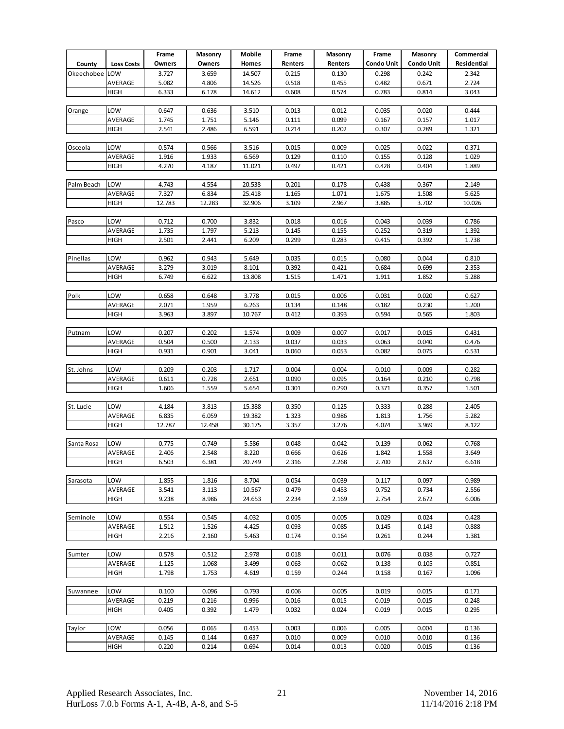|            |                   | Frame          | Masonry        | Mobile         | Frame          | Masonry        | Frame          | Masonry           | Commercial     |
|------------|-------------------|----------------|----------------|----------------|----------------|----------------|----------------|-------------------|----------------|
| County     | <b>Loss Costs</b> | Owners         | Owners         | Homes          | Renters        | Renters        | Condo Unit     | <b>Condo Unit</b> | Residential    |
| Okeechobee | LOW               | 3.727          | 3.659          | 14.507         | 0.215          | 0.130          | 0.298          | 0.242             | 2.342          |
|            | AVERAGE           | 5.082          | 4.806          | 14.526         | 0.518          | 0.455          | 0.482          | 0.671             | 2.724          |
|            | HIGH              | 6.333          | 6.178          | 14.612         | 0.608          | 0.574          | 0.783          | 0.814             | 3.043          |
|            |                   |                |                |                |                |                |                |                   |                |
| Orange     | LOW               | 0.647          | 0.636          | 3.510          | 0.013          | 0.012          | 0.035          | 0.020             | 0.444          |
|            | AVERAGE           | 1.745          | 1.751          | 5.146          | 0.111          | 0.099          | 0.167          | 0.157             | 1.017          |
|            | HIGH              | 2.541          | 2.486          | 6.591          | 0.214          | 0.202          | 0.307          | 0.289             | 1.321          |
|            |                   |                |                |                |                |                |                |                   |                |
| Osceola    | LOW               | 0.574          | 0.566          | 3.516          | 0.015          | 0.009          | 0.025          | 0.022             | 0.371          |
|            | AVERAGE           | 1.916          | 1.933          | 6.569          | 0.129          | 0.110          | 0.155          | 0.128             | 1.029          |
|            | HIGH              | 4.270          | 4.187          | 11.021         | 0.497          | 0.421          | 0.428          | 0.404             | 1.889          |
|            |                   |                |                |                |                |                |                |                   |                |
| Palm Beach | LOW               | 4.743          | 4.554          | 20.538         | 0.201          | 0.178          | 0.438          | 0.367             | 2.149          |
|            | AVERAGE           | 7.327          | 6.834          | 25.418         | 1.165          | 1.071          | 1.675          | 1.508             | 5.625          |
|            | HIGH              | 12.783         | 12.283         | 32.906         | 3.109          | 2.967          | 3.885          | 3.702             | 10.026         |
|            |                   |                |                |                |                |                |                |                   |                |
| Pasco      | LOW               | 0.712          | 0.700          | 3.832          | 0.018          | 0.016          | 0.043          | 0.039             | 0.786          |
|            | AVERAGE           | 1.735          | 1.797          | 5.213          | 0.145          | 0.155          | 0.252          | 0.319             | 1.392          |
|            | <b>HIGH</b>       | 2.501          | 2.441          | 6.209          | 0.299          | 0.283          | 0.415          | 0.392             | 1.738          |
|            |                   |                |                |                |                |                |                |                   |                |
| Pinellas   | LOW               | 0.962          | 0.943          | 5.649          | 0.035          | 0.015          | 0.080          | 0.044             | 0.810          |
|            | AVERAGE           | 3.279          | 3.019          | 8.101          | 0.392          | 0.421          | 0.684          | 0.699             | 2.353          |
|            | <b>HIGH</b>       | 6.749          | 6.622          | 13.808         | 1.515          | 1.471          | 1.911          | 1.852             | 5.288          |
|            |                   |                |                |                |                |                |                |                   |                |
| Polk       | LOW               | 0.658          | 0.648          | 3.778          | 0.015          | 0.006          | 0.031          | 0.020             | 0.627          |
|            | AVERAGE           | 2.071          | 1.959          | 6.263          | 0.134          | 0.148          | 0.182          | 0.230             | 1.200          |
|            | HIGH              | 3.963          | 3.897          | 10.767         | 0.412          | 0.393          | 0.594          | 0.565             | 1.803          |
| Putnam     | LOW               | 0.207          | 0.202          | 1.574          | 0.009          | 0.007          | 0.017          | 0.015             | 0.431          |
|            | AVERAGE           | 0.504          | 0.500          | 2.133          | 0.037          | 0.033          | 0.063          | 0.040             | 0.476          |
|            | <b>HIGH</b>       | 0.931          | 0.901          | 3.041          | 0.060          | 0.053          | 0.082          | 0.075             | 0.531          |
|            |                   |                |                |                |                |                |                |                   |                |
| St. Johns  | LOW               | 0.209          | 0.203          | 1.717          | 0.004          | 0.004          | 0.010          | 0.009             | 0.282          |
|            | AVERAGE           | 0.611          | 0.728          | 2.651          | 0.090          | 0.095          | 0.164          | 0.210             | 0.798          |
|            | HIGH              | 1.606          | 1.559          | 5.654          | 0.301          | 0.290          | 0.371          | 0.357             | 1.501          |
|            |                   |                |                |                |                |                |                |                   |                |
| St. Lucie  | LOW               | 4.184          | 3.813          | 15.388         | 0.350          | 0.125          | 0.333          | 0.288             | 2.405          |
|            | AVERAGE           | 6.835          | 6.059          | 19.382         | 1.323          | 0.986          | 1.813          | 1.756             | 5.282          |
|            | <b>HIGH</b>       | 12.787         | 12.458         | 30.175         | 3.357          | 3.276          | 4.074          | 3.969             | 8.122          |
|            |                   |                |                |                |                |                |                |                   |                |
| Santa Rosa | LOW               | 0.775          | 0.749          | 5.586          | 0.048          | 0.042          | 0.139          | 0.062             | 0.768          |
|            | AVERAGE           | 2.406          | 2.548          | 8.220          | 0.666          | 0.626          | 1.842          | 1.558             | 3.649          |
|            | <b>HIGH</b>       | 6.503          | 6.381          | 20.749         | 2.316          | 2.268          | 2.700          | 2.637             | 6.618          |
|            |                   |                |                |                |                |                |                |                   |                |
| Sarasota   | LOW               | 1.855          | 1.816          | 8.704          | 0.054          | 0.039          | 0.117          | 0.097             | 0.989          |
|            | AVERAGE           | 3.541          | 3.113          | 10.567         | 0.479          | 0.453          | 0.752          | 0.734             | 2.556          |
|            | <b>HIGH</b>       | 9.238          | 8.986          | 24.653         | 2.234          | 2.169          | 2.754          | 2.672             | 6.006          |
|            |                   |                |                |                |                |                |                |                   |                |
| Seminole   | LOW               | 0.554          | 0.545          | 4.032          | 0.005          | 0.005          | 0.029          | 0.024             | 0.428          |
|            | AVERAGE           | 1.512          | 1.526          | 4.425          | 0.093          | 0.085          | 0.145          | 0.143             | 0.888          |
|            | <b>HIGH</b>       | 2.216          | 2.160          | 5.463          | 0.174          | 0.164          | 0.261          | 0.244             | 1.381          |
|            |                   |                |                |                |                |                |                |                   |                |
| Sumter     | LOW               | 0.578          | 0.512          | 2.978          | 0.018          | 0.011          | 0.076          | 0.038             | 0.727          |
|            | AVERAGE           | 1.125          | 1.068          | 3.499          | 0.063          | 0.062          | 0.138          | 0.105             | 0.851          |
|            | HIGH              | 1.798          | 1.753          | 4.619          | 0.159          | 0.244          | 0.158          | 0.167             | 1.096          |
|            |                   |                |                |                |                |                |                |                   |                |
| Suwannee   | LOW               | 0.100          | 0.096          | 0.793          | 0.006          | 0.005          | 0.019          | 0.015             | 0.171          |
|            | AVERAGE<br>HIGH   | 0.219<br>0.405 | 0.216<br>0.392 | 0.996<br>1.479 | 0.016<br>0.032 | 0.015<br>0.024 | 0.019<br>0.019 | 0.015<br>0.015    | 0.248<br>0.295 |
|            |                   |                |                |                |                |                |                |                   |                |
| Taylor     | LOW               | 0.056          | 0.065          | 0.453          | 0.003          | 0.006          | 0.005          | 0.004             | 0.136          |
|            | AVERAGE           | 0.145          | 0.144          | 0.637          | 0.010          | 0.009          | 0.010          | 0.010             | 0.136          |
|            | HIGH              | 0.220          | 0.214          | 0.694          | 0.014          | 0.013          | 0.020          | 0.015             | 0.136          |
|            |                   |                |                |                |                |                |                |                   |                |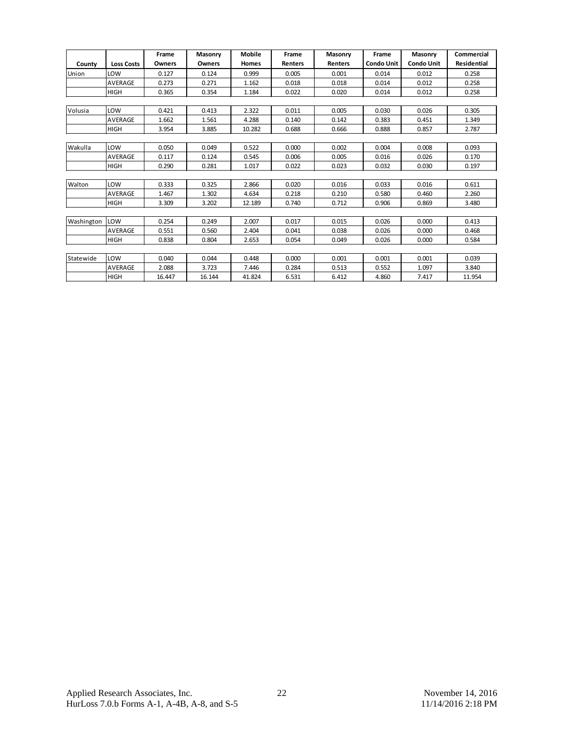|            |                   | Frame  | Masonry | <b>Mobile</b> | Frame   | Masonry        | Frame             | Masonry           | Commercial         |
|------------|-------------------|--------|---------|---------------|---------|----------------|-------------------|-------------------|--------------------|
| County     | <b>Loss Costs</b> | Owners | Owners  | Homes         | Renters | <b>Renters</b> | <b>Condo Unit</b> | <b>Condo Unit</b> | <b>Residential</b> |
| Union      | LOW               | 0.127  | 0.124   | 0.999         | 0.005   | 0.001          | 0.014             | 0.012             | 0.258              |
|            | <b>AVERAGE</b>    | 0.273  | 0.271   | 1.162         | 0.018   | 0.018          | 0.014             | 0.012             | 0.258              |
|            | <b>HIGH</b>       | 0.365  | 0.354   | 1.184         | 0.022   | 0.020          | 0.014             | 0.012             | 0.258              |
|            |                   |        |         |               |         |                |                   |                   |                    |
| Volusia    | LOW               | 0.421  | 0.413   | 2.322         | 0.011   | 0.005          | 0.030             | 0.026             | 0.305              |
|            | <b>AVERAGE</b>    | 1.662  | 1.561   | 4.288         | 0.140   | 0.142          | 0.383             | 0.451             | 1.349              |
|            | <b>HIGH</b>       | 3.954  | 3.885   | 10.282        | 0.688   | 0.666          | 0.888             | 0.857             | 2.787              |
|            |                   |        |         |               |         |                |                   |                   |                    |
| Wakulla    | LOW               | 0.050  | 0.049   | 0.522         | 0.000   | 0.002          | 0.004             | 0.008             | 0.093              |
|            | AVERAGE           | 0.117  | 0.124   | 0.545         | 0.006   | 0.005          | 0.016             | 0.026             | 0.170              |
|            | <b>HIGH</b>       | 0.290  | 0.281   | 1.017         | 0.022   | 0.023          | 0.032             | 0.030             | 0.197              |
|            |                   |        |         |               |         |                |                   |                   |                    |
| Walton     | LOW               | 0.333  | 0.325   | 2.866         | 0.020   | 0.016          | 0.033             | 0.016             | 0.611              |
|            | <b>AVERAGE</b>    | 1.467  | 1.302   | 4.634         | 0.218   | 0.210          | 0.580             | 0.460             | 2.260              |
|            | <b>HIGH</b>       | 3.309  | 3.202   | 12.189        | 0.740   | 0.712          | 0.906             | 0.869             | 3.480              |
|            |                   |        |         |               |         |                |                   |                   |                    |
| Washington | LOW               | 0.254  | 0.249   | 2.007         | 0.017   | 0.015          | 0.026             | 0.000             | 0.413              |
|            | <b>AVERAGE</b>    | 0.551  | 0.560   | 2.404         | 0.041   | 0.038          | 0.026             | 0.000             | 0.468              |
|            | <b>HIGH</b>       | 0.838  | 0.804   | 2.653         | 0.054   | 0.049          | 0.026             | 0.000             | 0.584              |
|            |                   |        |         |               |         |                |                   |                   |                    |
| Statewide  | LOW               | 0.040  | 0.044   | 0.448         | 0.000   | 0.001          | 0.001             | 0.001             | 0.039              |
|            | <b>AVERAGE</b>    | 2.088  | 3.723   | 7.446         | 0.284   | 0.513          | 0.552             | 1.097             | 3.840              |
|            | <b>HIGH</b>       | 16.447 | 16.144  | 41.824        | 6.531   | 6.412          | 4.860             | 7.417             | 11.954             |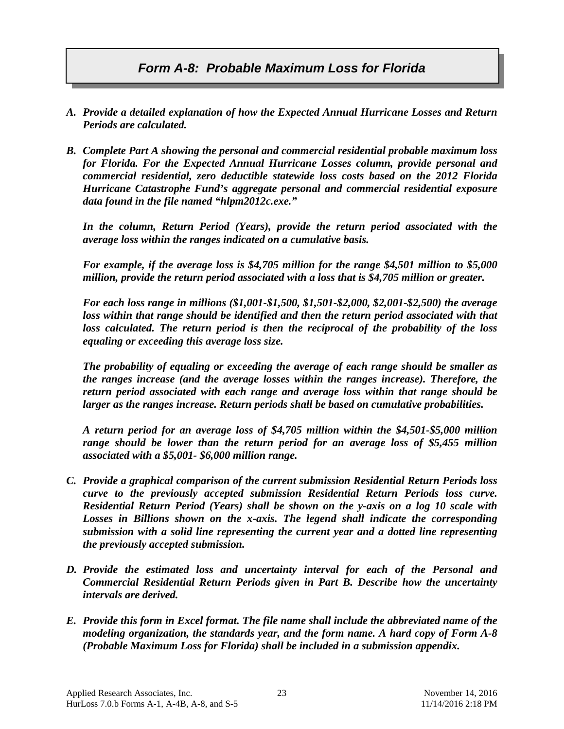## *Form A-8: Probable Maximum Loss for Florida*

- *A. Provide a detailed explanation of how the Expected Annual Hurricane Losses and Return Periods are calculated.*
- *B. Complete Part A showing the personal and commercial residential probable maximum loss for Florida. For the Expected Annual Hurricane Losses column, provide personal and commercial residential, zero deductible statewide loss costs based on the 2012 Florida Hurricane Catastrophe Fund's aggregate personal and commercial residential exposure data found in the file named "hlpm2012c.exe."*

*In the column, Return Period (Years), provide the return period associated with the average loss within the ranges indicated on a cumulative basis.* 

*For example, if the average loss is \$4,705 million for the range \$4,501 million to \$5,000 million, provide the return period associated with a loss that is \$4,705 million or greater.* 

*For each loss range in millions (\$1,001-\$1,500, \$1,501-\$2,000, \$2,001-\$2,500) the average*  loss within that range should be identified and then the return period associated with that *loss calculated. The return period is then the reciprocal of the probability of the loss equaling or exceeding this average loss size.*

*The probability of equaling or exceeding the average of each range should be smaller as the ranges increase (and the average losses within the ranges increase). Therefore, the return period associated with each range and average loss within that range should be larger as the ranges increase. Return periods shall be based on cumulative probabilities.* 

*A return period for an average loss of \$4,705 million within the \$4,501-\$5,000 million range should be lower than the return period for an average loss of \$5,455 million associated with a \$5,001- \$6,000 million range.*

- *C. Provide a graphical comparison of the current submission Residential Return Periods loss curve to the previously accepted submission Residential Return Periods loss curve. Residential Return Period (Years) shall be shown on the y-axis on a log 10 scale with Losses in Billions shown on the x-axis. The legend shall indicate the corresponding submission with a solid line representing the current year and a dotted line representing the previously accepted submission.*
- *D. Provide the estimated loss and uncertainty interval for each of the Personal and Commercial Residential Return Periods given in Part B. Describe how the uncertainty intervals are derived.*
- *E. Provide this form in Excel format. The file name shall include the abbreviated name of the modeling organization, the standards year, and the form name. A hard copy of Form A-8 (Probable Maximum Loss for Florida) shall be included in a submission appendix.*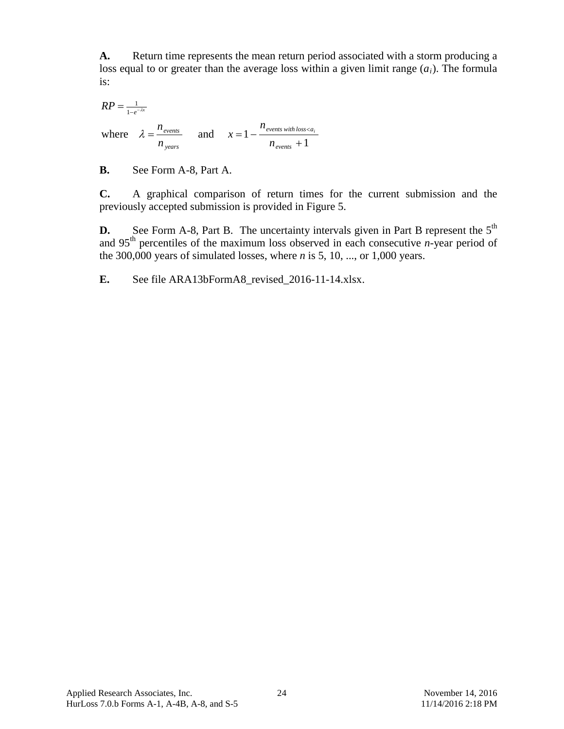**A.** Return time represents the mean return period associated with a storm producing a loss equal to or greater than the average loss within a given limit range  $(a_i)$ . The formula is:

1 where  $\lambda = \frac{n_{events}}{n_{years}}$  and  $x = 1 - \frac{n_{events with loss}}{n_{events} + 1}$ 1  $RP = \frac{1}{1-e^{-\lambda x}}$ *events events with loss a years events n n x n*  $\lambda = \frac{n_{\text{events}}}{n}$  and  $x = 1 - \frac{n_{\text{events with loss} < a_i}}{n}$ 

**B.** See Form A-8, Part A.

**C.** A graphical comparison of return times for the current submission and the previously accepted submission is provided in [Figure 5.](#page-25-0)

**D.** See Form A-8, Part B. The uncertainty intervals given in Part B represent the 5<sup>th</sup> and 95th percentiles of the maximum loss observed in each consecutive *n*-year period of the 300,000 years of simulated losses, where *n* is 5, 10, ..., or 1,000 years.

**E.** See file ARA13bFormA8\_revised\_2016-11-14.xlsx.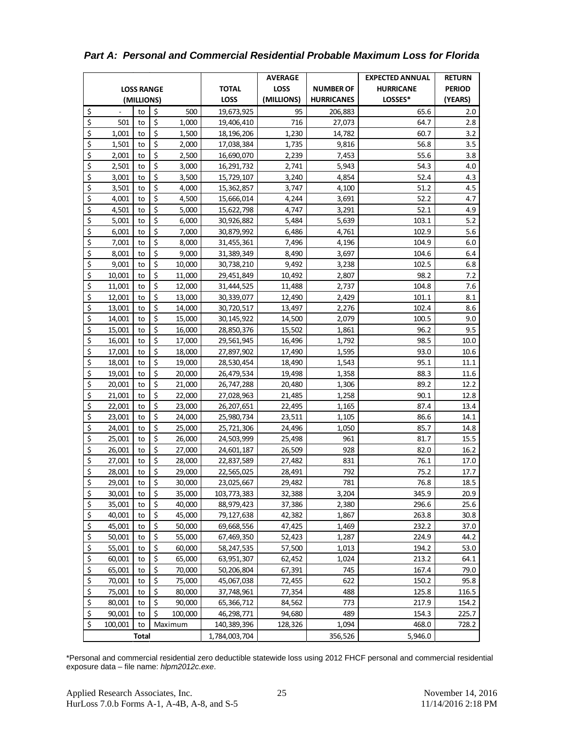|                                 |         |               |                  |              | <b>AVERAGE</b> |                  | <b>EXPECTED ANNUAL</b> | <b>RETURN</b> |          |
|---------------------------------|---------|---------------|------------------|--------------|----------------|------------------|------------------------|---------------|----------|
| <b>LOSS RANGE</b>               |         |               |                  | <b>TOTAL</b> | <b>LOSS</b>    | <b>NUMBER OF</b> | <b>HURRICANE</b>       | <b>PERIOD</b> |          |
|                                 |         | (MILLIONS)    |                  |              | <b>LOSS</b>    | (MILLIONS)       | <b>HURRICANES</b>      | LOSSES*       | (YEARS)  |
| \$                              |         | to            | \$               | 500          | 19,673,925     | 95               | 206,883                | 65.6          | 2.0      |
| $\overline{\boldsymbol{\zeta}}$ | 501     | to            | \$               | 1,000        | 19,406,410     | 716              | 27,073                 | 64.7          | 2.8      |
| \$                              | 1,001   | to            | \$               | 1,500        | 18,196,206     | 1,230            | 14,782                 | 60.7          | 3.2      |
| \$                              | 1,501   | to            | \$               | 2,000        | 17,038,384     | 1,735            | 9,816                  | 56.8          | 3.5      |
| \$                              | 2,001   | to            | \$               | 2,500        | 16,690,070     | 2,239            | 7,453                  | 55.6          | 3.8      |
| \$                              | 2,501   | to            | \$               | 3,000        | 16,291,732     | 2,741            | 5,943                  | 54.3          | 4.0      |
| \$                              | 3,001   | to            | \$               | 3,500        | 15,729,107     | 3,240            | 4,854                  | 52.4          | 4.3      |
| \$                              | 3,501   | to            | \$               | 4,000        | 15,362,857     | 3,747            | 4,100                  | 51.2          | 4.5      |
| \$                              | 4,001   | to            | \$               | 4,500        | 15,666,014     | 4,244            | 3,691                  | 52.2          | 4.7      |
| \$                              | 4,501   | to            | \$               | 5,000        | 15,622,798     | 4,747            | 3,291                  | 52.1          | 4.9      |
| \$                              | 5,001   | to            | \$               | 6,000        | 30,926,882     | 5,484            | 5,639                  | 103.1         | 5.2      |
| \$                              | 6,001   | to            | \$               | 7,000        | 30,879,992     | 6,486            | 4,761                  | 102.9         | 5.6      |
| \$                              | 7,001   | to            | \$               | 8,000        | 31,455,361     | 7,496            | 4,196                  | 104.9         | 6.0      |
| \$                              | 8,001   | to            | \$               | 9,000        | 31,389,349     | 8,490            | 3,697                  | 104.6         | 6.4      |
| \$                              | 9,001   | to            | \$               | 10,000       | 30,738,210     | 9,492            | 3,238                  | 102.5         | 6.8      |
| $\overline{\xi}$                | 10,001  | to            | \$               | 11,000       | 29,451,849     | 10,492           | 2,807                  | 98.2          | 7.2      |
| $\overline{\boldsymbol{\zeta}}$ | 11,001  | to            | \$               | 12,000       | 31,444,525     | 11,488           | 2,737                  | 104.8         | 7.6      |
| $\zeta$                         | 12,001  | to            | \$               | 13,000       | 30,339,077     | 12,490           | 2,429                  | 101.1         | 8.1      |
| $\overline{\boldsymbol{\zeta}}$ | 13,001  | to            | \$               | 14,000       | 30,720,517     | 13,497           | 2,276                  | 102.4         | 8.6      |
| \$                              | 14,001  | to            | \$               | 15,000       | 30,145,922     | 14,500           | 2,079                  | 100.5         | 9.0      |
| $\overline{\xi}$                | 15,001  | to            | \$               | 16,000       | 28,850,376     | 15,502           | 1,861                  | 96.2          | 9.5      |
| $\overline{\xi}$                | 16,001  | to            | $\overline{\xi}$ | 17,000       | 29,561,945     | 16,496           | 1,792                  | 98.5          | $10.0\,$ |
| \$                              | 17,001  | to            | $\zeta$          | 18,000       | 27,897,902     | 17,490           | 1,595                  | 93.0          | 10.6     |
| \$                              | 18,001  | to            | $\overline{\xi}$ | 19,000       | 28,530,454     | 18,490           | 1,543                  | 95.1          | 11.1     |
| \$                              | 19,001  | to            | $\overline{\xi}$ | 20,000       | 26,479,534     | 19,498           | 1,358                  | 88.3          | 11.6     |
| \$                              | 20,001  | to            | $\overline{\xi}$ | 21,000       | 26,747,288     | 20,480           | 1,306                  | 89.2          | 12.2     |
| \$                              | 21,001  | to            | $\overline{\xi}$ | 22,000       | 27,028,963     | 21,485           | 1,258                  | 90.1          | 12.8     |
| \$                              | 22,001  | to            | \$               | 23,000       | 26,207,651     | 22,495           | 1,165                  | 87.4          | 13.4     |
| \$                              | 23,001  | to            | $\overline{\xi}$ | 24,000       | 25,980,734     | 23,511           | 1,105                  | 86.6          | 14.1     |
| \$                              | 24,001  | to            | $\overline{\xi}$ | 25,000       | 25,721,306     | 24,496           | 1,050                  | 85.7          | 14.8     |
| \$                              | 25,001  | to            | $\overline{\xi}$ | 26,000       | 24,503,999     | 25,498           | 961                    | 81.7          | 15.5     |
| \$                              | 26,001  | to            | $\overline{\xi}$ | 27,000       | 24,601,187     | 26,509           | 928                    | 82.0          | 16.2     |
| \$                              | 27,001  | to            | \$               | 28,000       | 22,837,589     | 27,482           | 831                    | 76.1          | 17.0     |
| \$                              | 28,001  | to            | \$               | 29,000       | 22,565,025     | 28,491           | 792                    | 75.2          | 17.7     |
| \$                              | 29,001  | $\mathsf{to}$ | $\overline{\xi}$ | 30,000       | 23,025,667     | 29,482           | 781                    | 76.8          | 18.5     |
| \$                              | 30,001  | to            | \$               | 35,000       | 103,773,383    | 32,388           | 3,204                  | 345.9         | 20.9     |
| \$                              | 35,001  | to            | \$               | 40,000       | 88,979,423     | 37,386           | 2,380                  | 296.6         | 25.6     |
| $\zeta$                         | 40,001  | to            | \$               | 45,000       | 79,127,638     | 42,382           | 1,867                  | 263.8         | 30.8     |
| $\frac{1}{2}$                   | 45,001  | to            | \$               | 50,000       | 69,668,556     | 47,425           | 1,469                  | 232.2         | 37.0     |
| \$                              | 50,001  | to            | \$               | 55,000       | 67,469,350     | 52,423           | 1,287                  | 224.9         | 44.2     |
| $\zeta$                         | 55,001  | to            | \$               | 60,000       | 58,247,535     | 57,500           | 1,013                  | 194.2         | 53.0     |
| $\overline{\boldsymbol{\zeta}}$ | 60,001  | to            | \$               | 65,000       | 63,951,307     | 62,452           | 1,024                  | 213.2         | 64.1     |
| \$                              | 65,001  | to            | \$               | 70,000       | 50,206,804     | 67,391           | 745                    | 167.4         | 79.0     |
| $\frac{1}{2}$                   | 70,001  | to            | \$               | 75,000       | 45,067,038     | 72,455           | 622                    | 150.2         | 95.8     |
| $\overline{\mathbf{S}}$         | 75,001  | to            | \$               | 80,000       | 37,748,961     | 77,354           | 488                    | 125.8         | 116.5    |
| $\overline{\mathsf{S}}$         | 80,001  | to            | \$               | 90,000       | 65,366,712     | 84,562           | 773                    | 217.9         | 154.2    |
| \$                              | 90,001  | to            | \$               | 100,000      | 46,298,771     | 94,680           | 489                    | 154.3         | 225.7    |
| \$                              | 100,001 | to            |                  | Maximum      | 140,389,396    | 128,326          | 1,094                  | 468.0         | 728.2    |
| Total                           |         | 1,784,003,704 |                  | 356,526      | 5,946.0        |                  |                        |               |          |

*Part A: Personal and Commercial Residential Probable Maximum Loss for Florida*

\*Personal and commercial residential zero deductible statewide loss using 2012 FHCF personal and commercial residential exposure data – file name: *hlpm2012c.exe*.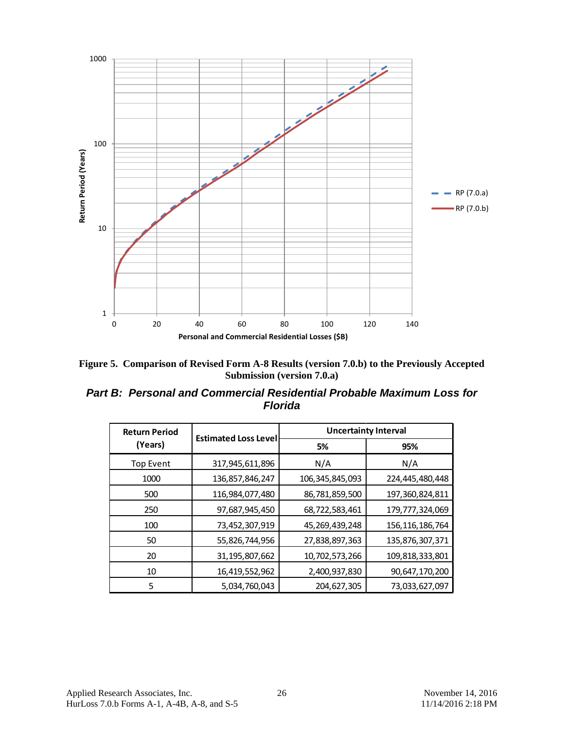

<span id="page-25-0"></span>

*Part B: Personal and Commercial Residential Probable Maximum Loss for Florida*

| <b>Return Period</b> |                             | <b>Uncertainty Interval</b> |                    |  |  |
|----------------------|-----------------------------|-----------------------------|--------------------|--|--|
| (Years)              | <b>Estimated Loss Level</b> | 5%                          | 95%                |  |  |
| <b>Top Event</b>     | 317,945,611,896             | N/A                         | N/A                |  |  |
| 1000                 | 136,857,846,247             | 106, 345, 845, 093          | 224,445,480,448    |  |  |
| 500                  | 116,984,077,480             | 86,781,859,500              | 197, 360, 824, 811 |  |  |
| 250                  | 97,687,945,450              | 68,722,583,461              | 179,777,324,069    |  |  |
| 100                  | 73,452,307,919              | 45, 269, 439, 248           | 156, 116, 186, 764 |  |  |
| 50                   | 55,826,744,956              | 27,838,897,363              | 135,876,307,371    |  |  |
| 20                   | 31, 195, 807, 662           | 10,702,573,266              | 109,818,333,801    |  |  |
| 10                   | 16,419,552,962              | 2,400,937,830               | 90,647,170,200     |  |  |
| 5                    | 5,034,760,043               | 204,627,305                 | 73,033,627,097     |  |  |